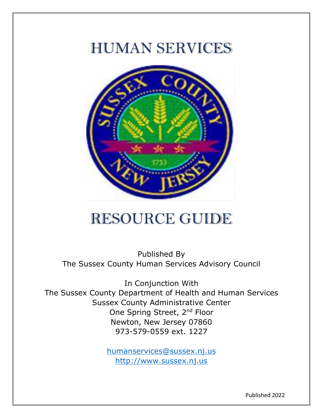# HUMAN SERVICES



# RESOURCE GUIDE

Published By The Sussex County Human Services Advisory Council

In Conjunction With The Sussex County Department of Health and Human Services Sussex County Administrative Center One Spring Street, 2<sup>nd</sup> Floor Newton, New Jersey 07860 973-579-0559 ext. 1227

> [humanservices@sussex.nj.us](mailto:humanservices@sussex.nj.us) [http://www.sussex.nj.us](http://www.sussex.nj.us/)

> > Published 2022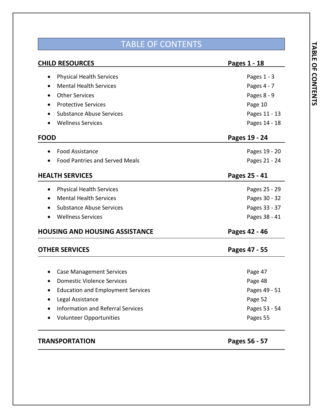## TABLE OF CONTENTS

| <b>CHILD RESOURCES</b>                                | Pages 1 - 18  |
|-------------------------------------------------------|---------------|
| <b>Physical Health Services</b><br>$\bullet$          | Pages $1 - 3$ |
| <b>Mental Health Services</b>                         | Pages 4 - 7   |
| <b>Other Services</b>                                 | Pages 8 - 9   |
| <b>Protective Services</b>                            | Page 10       |
| <b>Substance Abuse Services</b>                       | Pages 11 - 13 |
| <b>Wellness Services</b>                              | Pages 14 - 18 |
| <b>FOOD</b>                                           | Pages 19 - 24 |
| <b>Food Assistance</b>                                | Pages 19 - 20 |
| <b>Food Pantries and Served Meals</b>                 | Pages 21 - 24 |
| <b>HEALTH SERVICES</b>                                | Pages 25 - 41 |
| <b>Physical Health Services</b><br>$\bullet$          | Pages 25 - 29 |
| <b>Mental Health Services</b><br>$\bullet$            | Pages 30 - 32 |
| <b>Substance Abuse Services</b><br>$\bullet$          | Pages 33 - 37 |
| <b>Wellness Services</b><br>$\bullet$                 | Pages 38 - 41 |
| <b>HOUSING AND HOUSING ASSISTANCE</b>                 | Pages 42 - 46 |
| <b>OTHER SERVICES</b>                                 | Pages 47 - 55 |
|                                                       |               |
| <b>Case Management Services</b>                       | Page 47       |
| <b>Domestic Violence Services</b>                     | Page 48       |
| <b>Education and Employment Services</b><br>$\bullet$ | Pages 49 - 51 |
| Legal Assistance                                      | Page 52       |
| <b>Information and Referral Services</b>              | Pages 53 - 54 |
| <b>Volunteer Opportunities</b>                        | Pages 55      |
|                                                       |               |

## **TRANSPORTATION Pages 56 - 57**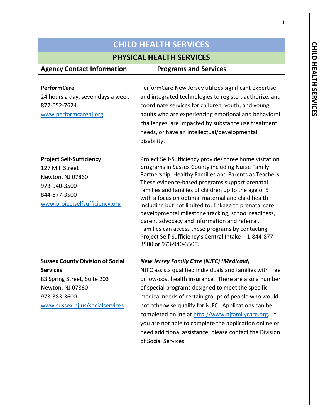## **PHYSICAL HEALTH SERVICES**

| <b>Agency Contact Information</b>       | <b>Programs and Services</b>                                                                           |
|-----------------------------------------|--------------------------------------------------------------------------------------------------------|
|                                         |                                                                                                        |
| <b>PerformCare</b>                      | PerformCare New Jersey utilizes significant expertise                                                  |
| 24 hours a day, seven days a week       | and integrated technologies to register, authorize, and                                                |
| 877-652-7624                            | coordinate services for children, youth, and young                                                     |
| www.performcarenj.org                   | adults who are experiencing emotional and behavioral                                                   |
|                                         | challenges, are impacted by substance use treatment                                                    |
|                                         | needs, or have an intellectual/developmental                                                           |
|                                         | disability.                                                                                            |
|                                         |                                                                                                        |
| <b>Project Self-Sufficiency</b>         | Project Self-Sufficiency provides three home visitation                                                |
| 127 Mill Street                         | programs in Sussex County including Nurse Family                                                       |
| Newton, NJ 07860                        | Partnership, Healthy Families and Parents as Teachers.                                                 |
| 973-940-3500                            | These evidence-based programs support prenatal<br>families and families of children up to the age of 5 |
| 844-877-3500                            | with a focus on optimal maternal and child health                                                      |
| www.projectselfsufficiency.org          | including but not limited to: linkage to prenatal care,                                                |
|                                         | developmental milestone tracking, school readiness,                                                    |
|                                         | parent advocacy and information and referral.                                                          |
|                                         | Families can access these programs by contacting                                                       |
|                                         | Project Self-Sufficiency's Central Intake - 1-844-877-                                                 |
|                                         | 3500 or 973-940-3500.                                                                                  |
| <b>Sussex County Division of Social</b> | <b>New Jersey Family Care (NJFC) (Medicaid)</b>                                                        |
| <b>Services</b>                         | NJFC assists qualified individuals and families with free                                              |
| 83 Spring Street, Suite 203             | or low-cost health insurance. There are also a number                                                  |
| Newton, NJ 07860                        | of special programs designed to meet the specific                                                      |
| 973-383-3600                            | medical needs of certain groups of people who would                                                    |
| www.sussex.nj.us/socialservices         | not otherwise qualify for NJFC. Applications can be                                                    |
|                                         | completed online at http://www.njfamilycare.org. If                                                    |
|                                         | you are not able to complete the application online or                                                 |
|                                         | need additional assistance, please contact the Division                                                |
|                                         | of Social Services.                                                                                    |
|                                         |                                                                                                        |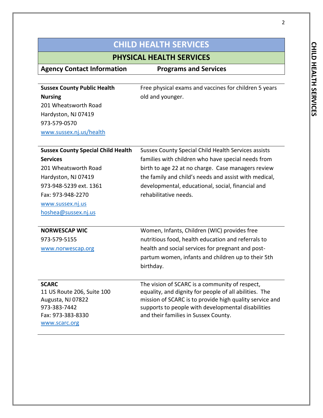### **PHYSICAL HEALTH SERVICES**

**Agency Contact Information Programs and Services**

**Sussex County Public Health Nursing** 201 Wheatsworth Road Hardyston, NJ 07419 973-579-0570 [www.sussex.nj.us/health](http://www.sussex.nj.us/health) Free physical exams and vaccines for children 5 years old and younger.

| <b>Sussex County Special Child Health</b> | Sussex County Special Child Health Services assists     |
|-------------------------------------------|---------------------------------------------------------|
| <b>Services</b>                           | families with children who have special needs from      |
| 201 Wheatsworth Road                      | birth to age 22 at no charge. Case managers review      |
| Hardyston, NJ 07419                       | the family and child's needs and assist with medical,   |
| 973-948-5239 ext. 1361                    | developmental, educational, social, financial and       |
| Fax: 973-948-2270                         | rehabilitative needs.                                   |
| www.sussex.nj.us                          |                                                         |
| hoshea@sussex.nj.us                       |                                                         |
|                                           |                                                         |
| <b>NORWESCAP WIC</b>                      | Women, Infants, Children (WIC) provides free            |
| 973-579-5155                              | nutritious food, health education and referrals to      |
| www.norwescap.org                         | health and social services for pregnant and post-       |
|                                           | partum women, infants and children up to their 5th      |
|                                           | birthday.                                               |
|                                           |                                                         |
| <b>SCARC</b>                              | The vision of SCARC is a community of respect,          |
| 11 US Route 206, Suite 100                | equality, and dignity for people of all abilities. The  |
| Augusta, NJ 07822                         | mission of SCARC is to provide high quality service and |
| 973-383-7442<br>Fax: 973-383-8330         | supports to people with developmental disabilities      |
| www.scarc.org                             | and their families in Sussex County.                    |
|                                           |                                                         |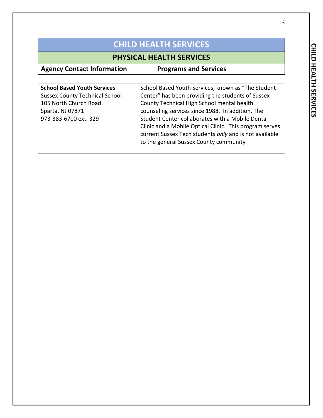## **PHYSICAL HEALTH SERVICES**

| <b>Agency Contact Information</b>     | <b>Programs and Services</b>                            |
|---------------------------------------|---------------------------------------------------------|
|                                       |                                                         |
| <b>School Based Youth Services</b>    | School Based Youth Services, known as "The Student      |
| <b>Sussex County Technical School</b> | Center" has been providing the students of Sussex       |
| 105 North Church Road                 | County Technical High School mental health              |
| Sparta, NJ 07871                      | counseling services since 1988. In addition, The        |
| 973-383-6700 ext. 329                 | Student Center collaborates with a Mobile Dental        |
|                                       | Clinic and a Mobile Optical Clinic. This program serves |
|                                       | current Sussex Tech students only and is not available  |
|                                       | to the general Sussex County community                  |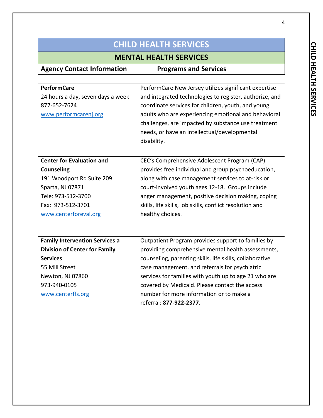**MENTAL HEALTH SERVICES**

| <b>Agency Contact Information</b>     | <b>Programs and Services</b>                             |
|---------------------------------------|----------------------------------------------------------|
|                                       |                                                          |
| <b>PerformCare</b>                    | PerformCare New Jersey utilizes significant expertise    |
| 24 hours a day, seven days a week     | and integrated technologies to register, authorize, and  |
| 877-652-7624                          | coordinate services for children, youth, and young       |
| www.performcarenj.org                 | adults who are experiencing emotional and behavioral     |
|                                       | challenges, are impacted by substance use treatment      |
|                                       | needs, or have an intellectual/developmental             |
|                                       | disability.                                              |
|                                       |                                                          |
| <b>Center for Evaluation and</b>      | CEC's Comprehensive Adolescent Program (CAP)             |
| <b>Counseling</b>                     | provides free individual and group psychoeducation,      |
| 191 Woodport Rd Suite 209             | along with case management services to at-risk or        |
| Sparta, NJ 07871                      | court-involved youth ages 12-18. Groups include          |
| Tele: 973-512-3700                    | anger management, positive decision making, coping       |
| Fax: 973-512-3701                     | skills, life skills, job skills, conflict resolution and |
| www.centerforeval.org                 | healthy choices.                                         |
|                                       |                                                          |
|                                       |                                                          |
| <b>Family Intervention Services a</b> | Outpatient Program provides support to families by       |
| <b>Division of Center for Family</b>  | providing comprehensive mental health assessments,       |
| <b>Services</b>                       | counseling, parenting skills, life skills, collaborative |
| 55 Mill Street                        | case management, and referrals for psychiatric           |
| Newton, NJ 07860                      | services for families with youth up to age 21 who are    |
| 973-940-0105                          | covered by Medicaid. Please contact the access           |
| www.centerffs.org                     | number for more information or to make a                 |
|                                       | referral: 877-922-2377.                                  |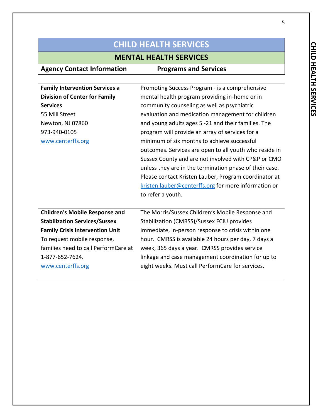## **MENTAL HEALTH SERVICES**

| <b>Family Intervention Services a</b>  | Promoting Success Program - is a comprehensive          |
|----------------------------------------|---------------------------------------------------------|
| <b>Division of Center for Family</b>   | mental health program providing in-home or in           |
| <b>Services</b>                        | community counseling as well as psychiatric             |
| 55 Mill Street                         | evaluation and medication management for children       |
| Newton, NJ 07860                       | and young adults ages 5 -21 and their families. The     |
| 973-940-0105                           | program will provide an array of services for a         |
| www.centerffs.org                      | minimum of six months to achieve successful             |
|                                        | outcomes. Services are open to all youth who reside in  |
|                                        | Sussex County and are not involved with CP&P or CMO     |
|                                        | unless they are in the termination phase of their case. |
|                                        | Please contact Kristen Lauber, Program coordinator at   |
|                                        | kristen.lauber@centerffs.org for more information or    |
|                                        | to refer a youth.                                       |
|                                        |                                                         |
| <b>Children's Mobile Response and</b>  | The Morris/Sussex Children's Mobile Response and        |
| <b>Stabilization Services/Sussex</b>   | Stabilization (CMRSS)/Sussex FCIU provides              |
| <b>Family Crisis Intervention Unit</b> | immediate, in-person response to crisis within one      |
| To request mobile response,            | hour. CMRSS is available 24 hours per day, 7 days a     |
| families need to call PerformCare at   | week, 365 days a year. CMRSS provides service           |
| 1-877-652-7624.                        | linkage and case management coordination for up to      |
| www.centerffs.org                      | eight weeks. Must call PerformCare for services.        |
|                                        |                                                         |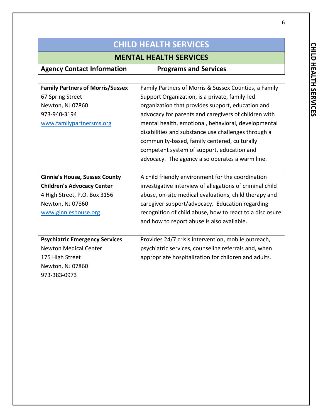## **MENTAL HEALTH SERVICES**

| <b>Agency Contact Information</b>       | <b>Programs and Services</b>                             |
|-----------------------------------------|----------------------------------------------------------|
|                                         |                                                          |
| <b>Family Partners of Morris/Sussex</b> | Family Partners of Morris & Sussex Counties, a Family    |
| 67 Spring Street                        | Support Organization, is a private, family-led           |
| Newton, NJ 07860                        | organization that provides support, education and        |
| 973-940-3194                            | advocacy for parents and caregivers of children with     |
| www.familypartnersms.org                | mental health, emotional, behavioral, developmental      |
|                                         | disabilities and substance use challenges through a      |
|                                         | community-based, family centered, culturally             |
|                                         | competent system of support, education and               |
|                                         | advocacy. The agency also operates a warm line.          |
|                                         |                                                          |
| <b>Ginnie's House, Sussex County</b>    | A child friendly environment for the coordination        |
| <b>Children's Advocacy Center</b>       | investigative interview of allegations of criminal child |
| 4 High Street, P.O. Box 3156            | abuse, on-site medical evaluations, child therapy and    |
| Newton, NJ 07860                        | caregiver support/advocacy. Education regarding          |
| www.ginnieshouse.org                    | recognition of child abuse, how to react to a disclosure |
|                                         | and how to report abuse is also available.               |
|                                         |                                                          |
| <b>Psychiatric Emergency Services</b>   | Provides 24/7 crisis intervention, mobile outreach,      |
| <b>Newton Medical Center</b>            | psychiatric services, counseling referrals and, when     |
| 175 High Street                         | appropriate hospitalization for children and adults.     |
| Newton, NJ 07860                        |                                                          |
| 973-383-0973                            |                                                          |
|                                         |                                                          |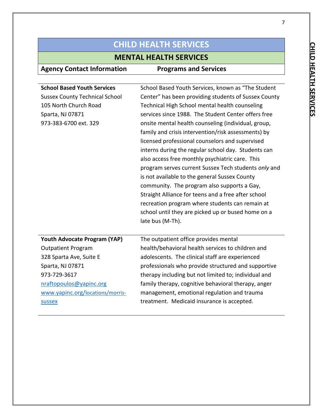## **MENTAL HEALTH SERVICES**

| <b>School Based Youth Services</b>    | School Based Youth Services, known as "The Student   |
|---------------------------------------|------------------------------------------------------|
| <b>Sussex County Technical School</b> | Center" has been providing students of Sussex County |
| 105 North Church Road                 | Technical High School mental health counseling       |
| Sparta, NJ 07871                      | services since 1988. The Student Center offers free  |
| 973-383-6700 ext. 329                 | onsite mental health counseling (individual, group,  |
|                                       | family and crisis intervention/risk assessments) by  |
|                                       | licensed professional counselors and supervised      |
|                                       | interns during the regular school day. Students can  |
|                                       | also access free monthly psychiatric care. This      |
|                                       | program serves current Sussex Tech students only and |
|                                       | is not available to the general Sussex County        |
|                                       | community. The program also supports a Gay,          |
|                                       | Straight Alliance for teens and a free after school  |
|                                       | recreation program where students can remain at      |
|                                       | school until they are picked up or bused home on a   |
|                                       | late bus (M-Th).                                     |
|                                       |                                                      |
| Youth Advocate Program (YAP)          | The outpatient office provides mental                |
| <b>Outpatient Program</b>             | health/behavioral health services to children and    |
| 328 Sparta Ave, Suite E               | adolescents. The clinical staff are experienced      |
| Sparta, NJ 07871                      | professionals who provide structured and supportive  |
| 973-729-3617                          | therapy including but not limited to; individual and |
| nraftopoulos@yapinc.org               | family therapy, cognitive behavioral therapy, anger  |
| www.yapinc.org/locations/morris-      | management, emotional regulation and trauma          |
| <b>SUSSEX</b>                         | treatment. Medicaid insurance is accepted.           |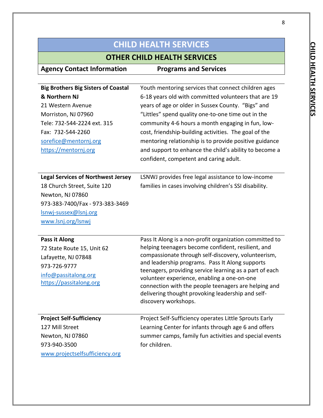## **OTHER CHILD HEALTH SERVICES**

| <b>Big Brothers Big Sisters of Coastal</b> | Youth mentoring services that connect children ages                                                    |
|--------------------------------------------|--------------------------------------------------------------------------------------------------------|
| & Northern NJ                              | 6-18 years old with committed volunteers that are 19                                                   |
| 21 Western Avenue                          | years of age or older in Sussex County. "Bigs" and                                                     |
| Morriston, NJ 07960                        | "Littles" spend quality one-to-one time out in the                                                     |
| Tele: 732-544-2224 ext. 315                | community 4-6 hours a month engaging in fun, low-                                                      |
| Fax: 732-544-2260                          | cost, friendship-building activities. The goal of the                                                  |
| sorefice@mentornj.org                      | mentoring relationship is to provide positive guidance                                                 |
| https://mentornj.org                       | and support to enhance the child's ability to become a                                                 |
|                                            | confident, competent and caring adult.                                                                 |
|                                            |                                                                                                        |
| <b>Legal Services of Northwest Jersey</b>  | LSNWJ provides free legal assistance to low-income                                                     |
| 18 Church Street, Suite 120                | families in cases involving children's SSI disability.                                                 |
| Newton, NJ 07860                           |                                                                                                        |
| 973-383-7400/Fax - 973-383-3469            |                                                                                                        |
| Isnwj-sussex@Isnj.org                      |                                                                                                        |
| www.lsnj.org/lsnwj                         |                                                                                                        |
|                                            |                                                                                                        |
| Pass it Along                              | Pass It Along is a non-profit organization committed to                                                |
| 72 State Route 15, Unit 62                 | helping teenagers become confident, resilient, and                                                     |
| Lafayette, NJ 07848                        | compassionate through self-discovery, volunteerism,<br>and leadership programs. Pass It Along supports |
| 973-726-9777                               | teenagers, providing service learning as a part of each                                                |
| info@passitalong.org                       | volunteer experience, enabling a one-on-one                                                            |
| https://passitalong.org                    | connection with the people teenagers are helping and                                                   |
|                                            | delivering thought provoking leadership and self-                                                      |
|                                            | discovery workshops.                                                                                   |
| <b>Project Self-Sufficiency</b>            | Project Self-Sufficiency operates Little Sprouts Early                                                 |
| 127 Mill Street                            | Learning Center for infants through age 6 and offers                                                   |
|                                            |                                                                                                        |
| Newton, NJ 07860                           | summer camps, family fun activities and special events<br>for children.                                |
| 973-940-3500                               |                                                                                                        |
| www.projectselfsufficiency.org             |                                                                                                        |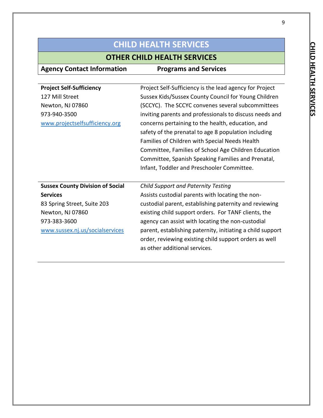## **OTHER CHILD HEALTH SERVICES**

| <b>Project Self-Sufficiency</b>         | Project Self-Sufficiency is the lead agency for Project    |
|-----------------------------------------|------------------------------------------------------------|
| 127 Mill Street                         | Sussex Kids/Sussex County Council for Young Children       |
| Newton, NJ 07860                        | (SCCYC). The SCCYC convenes several subcommittees          |
| 973-940-3500                            | inviting parents and professionals to discuss needs and    |
| www.projectselfsufficiency.org          | concerns pertaining to the health, education, and          |
|                                         | safety of the prenatal to age 8 population including       |
|                                         | Families of Children with Special Needs Health             |
|                                         | Committee, Families of School Age Children Education       |
|                                         | Committee, Spanish Speaking Families and Prenatal,         |
|                                         | Infant, Toddler and Preschooler Committee.                 |
|                                         |                                                            |
| <b>Sussex County Division of Social</b> | <b>Child Support and Paternity Testing</b>                 |
| <b>Services</b>                         | Assists custodial parents with locating the non-           |
| 83 Spring Street, Suite 203             | custodial parent, establishing paternity and reviewing     |
| Newton, NJ 07860                        | existing child support orders. For TANF clients, the       |
| 973-383-3600                            | agency can assist with locating the non-custodial          |
| www.sussex.nj.us/socialservices         | parent, establishing paternity, initiating a child support |
|                                         |                                                            |
|                                         | order, reviewing existing child support orders as well     |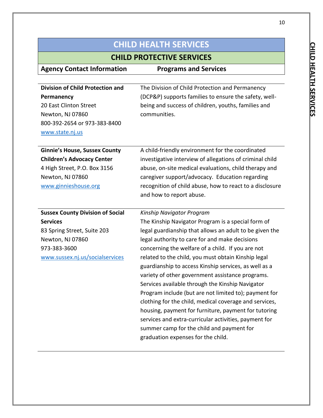## **CHILD PROTECTIVE SERVICES**

| <b>Agency Contact Information</b>       | <b>Programs and Services</b>                             |
|-----------------------------------------|----------------------------------------------------------|
|                                         |                                                          |
| <b>Division of Child Protection and</b> | The Division of Child Protection and Permanency          |
| Permanency                              | (DCP&P) supports families to ensure the safety, well-    |
| 20 East Clinton Street                  | being and success of children, youths, families and      |
| Newton, NJ 07860                        | communities.                                             |
| 800-392-2654 or 973-383-8400            |                                                          |
| www.state.nj.us                         |                                                          |
|                                         |                                                          |
| <b>Ginnie's House, Sussex County</b>    | A child-friendly environment for the coordinated         |
| <b>Children's Advocacy Center</b>       | investigative interview of allegations of criminal child |
| 4 High Street, P.O. Box 3156            | abuse, on-site medical evaluations, child therapy and    |
| Newton, NJ 07860                        | caregiver support/advocacy. Education regarding          |
| www.ginnieshouse.org                    | recognition of child abuse, how to react to a disclosure |
|                                         | and how to report abuse.                                 |
|                                         |                                                          |
| <b>Sussex County Division of Social</b> | Kinship Navigator Program                                |
| <b>Services</b>                         | The Kinship Navigator Program is a special form of       |
| 83 Spring Street, Suite 203             | legal guardianship that allows an adult to be given the  |
| Newton, NJ 07860                        | legal authority to care for and make decisions           |
| 973-383-3600                            | concerning the welfare of a child. If you are not        |
| www.sussex.nj.us/socialservices         | related to the child, you must obtain Kinship legal      |
|                                         | guardianship to access Kinship services, as well as a    |
|                                         | variety of other government assistance programs.         |
|                                         | Services available through the Kinship Navigator         |
|                                         | Program include (but are not limited to); payment for    |
|                                         | clothing for the child, medical coverage and services,   |
|                                         | housing, payment for furniture, payment for tutoring     |
|                                         | services and extra-curricular activities, payment for    |
|                                         | summer camp for the child and payment for                |
|                                         | graduation expenses for the child.                       |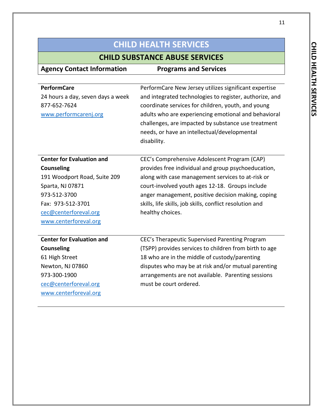## **CHILD SUBSTANCE ABUSE SERVICES**

| <b>Agency Contact Information</b> | <b>Programs and Services</b>                             |
|-----------------------------------|----------------------------------------------------------|
|                                   |                                                          |
| <b>PerformCare</b>                | PerformCare New Jersey utilizes significant expertise    |
| 24 hours a day, seven days a week | and integrated technologies to register, authorize, and  |
| 877-652-7624                      | coordinate services for children, youth, and young       |
| www.performcarenj.org             | adults who are experiencing emotional and behavioral     |
|                                   | challenges, are impacted by substance use treatment      |
|                                   | needs, or have an intellectual/developmental             |
|                                   | disability.                                              |
|                                   |                                                          |
| <b>Center for Evaluation and</b>  | CEC's Comprehensive Adolescent Program (CAP)             |
| <b>Counseling</b>                 | provides free individual and group psychoeducation,      |
| 191 Woodport Road, Suite 209      | along with case management services to at-risk or        |
| Sparta, NJ 07871                  | court-involved youth ages 12-18. Groups include          |
| 973-512-3700                      | anger management, positive decision making, coping       |
| Fax: 973-512-3701                 | skills, life skills, job skills, conflict resolution and |
| cec@centerforeval.org             | healthy choices.                                         |
| www.centerforeval.org             |                                                          |
|                                   |                                                          |
| <b>Center for Evaluation and</b>  | CEC's Therapeutic Supervised Parenting Program           |
| <b>Counseling</b>                 | (TSPP) provides services to children from birth to age   |
| 61 High Street                    | 18 who are in the middle of custody/parenting            |
| Newton, NJ 07860                  | disputes who may be at risk and/or mutual parenting      |
| 973-300-1900                      | arrangements are not available. Parenting sessions       |
| cec@centerforeval.org             | must be court ordered.                                   |
| www.centerforeval.org             |                                                          |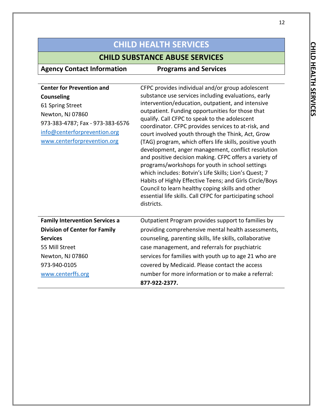## **CHILD SUBSTANCE ABUSE SERVICES**

| <b>Center for Prevention and</b><br><b>Counseling</b><br>61 Spring Street<br>Newton, NJ 07860<br>973-383-4787; Fax - 973-383-6576<br>info@centerforprevention.org<br>www.centerforprevention.org | CFPC provides individual and/or group adolescent<br>substance use services including evaluations, early<br>intervention/education, outpatient, and intensive<br>outpatient. Funding opportunities for those that<br>qualify. Call CFPC to speak to the adolescent<br>coordinator. CFPC provides services to at-risk, and<br>court involved youth through the Think, Act, Grow<br>(TAG) program, which offers life skills, positive youth<br>development, anger management, conflict resolution<br>and positive decision making. CFPC offers a variety of<br>programs/workshops for youth in school settings<br>which includes: Botvin's Life Skills; Lion's Quest; 7<br>Habits of Highly Effective Teens; and Girls Circle/Boys<br>Council to learn healthy coping skills and other<br>essential life skills. Call CFPC for participating school<br>districts. |
|--------------------------------------------------------------------------------------------------------------------------------------------------------------------------------------------------|----------------------------------------------------------------------------------------------------------------------------------------------------------------------------------------------------------------------------------------------------------------------------------------------------------------------------------------------------------------------------------------------------------------------------------------------------------------------------------------------------------------------------------------------------------------------------------------------------------------------------------------------------------------------------------------------------------------------------------------------------------------------------------------------------------------------------------------------------------------|
| <b>Family Intervention Services a</b>                                                                                                                                                            | Outpatient Program provides support to families by                                                                                                                                                                                                                                                                                                                                                                                                                                                                                                                                                                                                                                                                                                                                                                                                             |
| <b>Division of Center for Family</b>                                                                                                                                                             | providing comprehensive mental health assessments,                                                                                                                                                                                                                                                                                                                                                                                                                                                                                                                                                                                                                                                                                                                                                                                                             |
| <b>Services</b>                                                                                                                                                                                  | counseling, parenting skills, life skills, collaborative                                                                                                                                                                                                                                                                                                                                                                                                                                                                                                                                                                                                                                                                                                                                                                                                       |
| 55 Mill Street                                                                                                                                                                                   | case management, and referrals for psychiatric                                                                                                                                                                                                                                                                                                                                                                                                                                                                                                                                                                                                                                                                                                                                                                                                                 |
| Newton, NJ 07860                                                                                                                                                                                 | services for families with youth up to age 21 who are                                                                                                                                                                                                                                                                                                                                                                                                                                                                                                                                                                                                                                                                                                                                                                                                          |
| 973-940-0105                                                                                                                                                                                     | covered by Medicaid. Please contact the access                                                                                                                                                                                                                                                                                                                                                                                                                                                                                                                                                                                                                                                                                                                                                                                                                 |
| www.centerffs.org                                                                                                                                                                                | number for more information or to make a referral:<br>877-922-2377.                                                                                                                                                                                                                                                                                                                                                                                                                                                                                                                                                                                                                                                                                                                                                                                            |
|                                                                                                                                                                                                  |                                                                                                                                                                                                                                                                                                                                                                                                                                                                                                                                                                                                                                                                                                                                                                                                                                                                |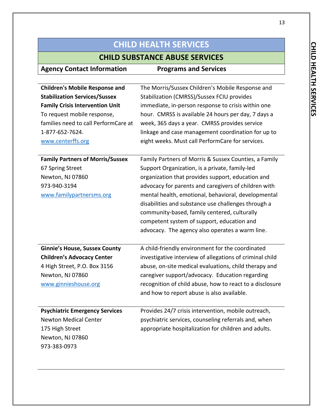### **CHILD SUBSTANCE ABUSE SERVICES**

**Agency Contact Information Programs and Services Children's Mobile Response and**  The Morris/Sussex Children's Mobile Response and

| <b>Stabilization Services/Sussex</b><br><b>Family Crisis Intervention Unit</b><br>To request mobile response,<br>families need to call PerformCare at<br>1-877-652-7624.<br>www.centerffs.org | Stabilization (CMRSS)/Sussex FCIU provides<br>immediate, in-person response to crisis within one<br>hour. CMRSS is available 24 hours per day, 7 days a<br>week, 365 days a year. CMRSS provides service<br>linkage and case management coordination for up to<br>eight weeks. Must call PerformCare for services.                                                                                                                                                                  |
|-----------------------------------------------------------------------------------------------------------------------------------------------------------------------------------------------|-------------------------------------------------------------------------------------------------------------------------------------------------------------------------------------------------------------------------------------------------------------------------------------------------------------------------------------------------------------------------------------------------------------------------------------------------------------------------------------|
| <b>Family Partners of Morris/Sussex</b><br>67 Spring Street<br>Newton, NJ 07860<br>973-940-3194<br>www.familypartnersms.org                                                                   | Family Partners of Morris & Sussex Counties, a Family<br>Support Organization, is a private, family-led<br>organization that provides support, education and<br>advocacy for parents and caregivers of children with<br>mental health, emotional, behavioral, developmental<br>disabilities and substance use challenges through a<br>community-based, family centered, culturally<br>competent system of support, education and<br>advocacy. The agency also operates a warm line. |
| <b>Ginnie's House, Sussex County</b><br><b>Children's Advocacy Center</b><br>4 High Street, P.O. Box 3156<br>Newton, NJ 07860<br>www.ginnieshouse.org                                         | A child-friendly environment for the coordinated<br>investigative interview of allegations of criminal child<br>abuse, on-site medical evaluations, child therapy and<br>caregiver support/advocacy. Education regarding<br>recognition of child abuse, how to react to a disclosure<br>and how to report abuse is also available.                                                                                                                                                  |
| <b>Psychiatric Emergency Services</b><br><b>Newton Medical Center</b><br>175 High Street<br>Newton, NJ 07860<br>973-383-0973                                                                  | Provides 24/7 crisis intervention, mobile outreach,<br>psychiatric services, counseling referrals and, when<br>appropriate hospitalization for children and adults.                                                                                                                                                                                                                                                                                                                 |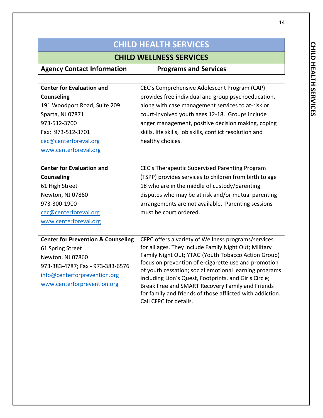### **CHILD WELLNESS SERVICES**

| <b>Agency Contact Information</b>             | <b>Programs and Services</b>                                                                                   |
|-----------------------------------------------|----------------------------------------------------------------------------------------------------------------|
|                                               |                                                                                                                |
| <b>Center for Evaluation and</b>              | CEC's Comprehensive Adolescent Program (CAP)                                                                   |
| <b>Counseling</b>                             | provides free individual and group psychoeducation,                                                            |
| 191 Woodport Road, Suite 209                  | along with case management services to at-risk or                                                              |
| Sparta, NJ 07871                              | court-involved youth ages 12-18. Groups include                                                                |
| 973-512-3700                                  | anger management, positive decision making, coping                                                             |
| Fax: 973-512-3701                             | skills, life skills, job skills, conflict resolution and                                                       |
| cec@centerforeval.org                         | healthy choices.                                                                                               |
| www.centerforeval.org                         |                                                                                                                |
|                                               |                                                                                                                |
| <b>Center for Evaluation and</b>              | CEC's Therapeutic Supervised Parenting Program                                                                 |
| <b>Counseling</b>                             | (TSPP) provides services to children from birth to age                                                         |
| 61 High Street                                | 18 who are in the middle of custody/parenting                                                                  |
| Newton, NJ 07860                              | disputes who may be at risk and/or mutual parenting                                                            |
| 973-300-1900                                  | arrangements are not available. Parenting sessions                                                             |
| cec@centerforeval.org                         | must be court ordered.                                                                                         |
| www.centerforeval.org                         |                                                                                                                |
|                                               |                                                                                                                |
| <b>Center for Prevention &amp; Counseling</b> | CFPC offers a variety of Wellness programs/services                                                            |
| 61 Spring Street                              | for all ages. They include Family Night Out; Military                                                          |
| Newton, NJ 07860                              | Family Night Out; YTAG (Youth Tobacco Action Group)                                                            |
| 973-383-4787; Fax - 973-383-6576              | focus on prevention of e-cigarette use and promotion<br>of youth cessation; social emotional learning programs |
| info@centerforprevention.org                  | including Lion's Quest, Footprints, and Girls Circle;                                                          |
| www.centerforprevention.org                   | Break Free and SMART Recovery Family and Friends                                                               |
|                                               | for family and friends of those afflicted with addiction.                                                      |

Call CFPC for details.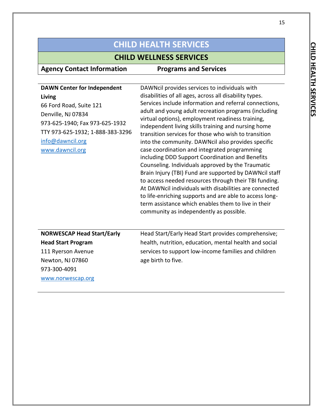## **CHILD WELLNESS SERVICES**

| <b>DAWN Center for Independent</b><br>Living<br>66 Ford Road, Suite 121<br>Denville, NJ 07834<br>973-625-1940; Fax 973-625-1932<br>TTY 973-625-1932; 1-888-383-3296<br>info@dawncil.org<br>www.dawncil.org | DAWNcil provides services to individuals with<br>disabilities of all ages, across all disability types.<br>Services include information and referral connections,<br>adult and young adult recreation programs (including<br>virtual options), employment readiness training,<br>independent living skills training and nursing home<br>transition services for those who wish to transition<br>into the community. DAWNcil also provides specific<br>case coordination and integrated programming<br>including DDD Support Coordination and Benefits<br>Counseling. Individuals approved by the Traumatic<br>Brain Injury (TBI) Fund are supported by DAWNcil staff<br>to access needed resources through their TBI funding.<br>At DAWNcil individuals with disabilities are connected<br>to life-enriching supports and are able to access long-<br>term assistance which enables them to live in their<br>community as independently as possible. |
|------------------------------------------------------------------------------------------------------------------------------------------------------------------------------------------------------------|------------------------------------------------------------------------------------------------------------------------------------------------------------------------------------------------------------------------------------------------------------------------------------------------------------------------------------------------------------------------------------------------------------------------------------------------------------------------------------------------------------------------------------------------------------------------------------------------------------------------------------------------------------------------------------------------------------------------------------------------------------------------------------------------------------------------------------------------------------------------------------------------------------------------------------------------------|
| <b>NORWESCAP Head Start/Early</b><br><b>Head Start Program</b><br>111 Ryerson Avenue<br>Newton, NJ 07860<br>973-300-4091<br>www.norwescap.org                                                              | Head Start/Early Head Start provides comprehensive;<br>health, nutrition, education, mental health and social<br>services to support low-income families and children<br>age birth to five.                                                                                                                                                                                                                                                                                                                                                                                                                                                                                                                                                                                                                                                                                                                                                          |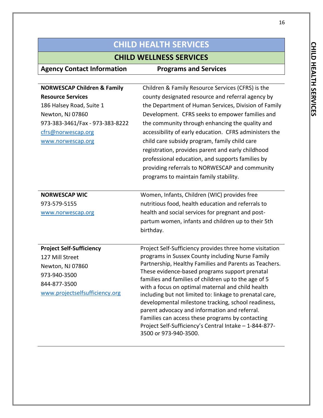## **CHILD WELLNESS SERVICES**

| <b>NORWESCAP Children &amp; Family</b> | Children & Family Resource Services (CFRS) is the                                                      |
|----------------------------------------|--------------------------------------------------------------------------------------------------------|
| <b>Resource Services</b>               | county designated resource and referral agency by                                                      |
| 186 Halsey Road, Suite 1               | the Department of Human Services, Division of Family                                                   |
| Newton, NJ 07860                       | Development. CFRS seeks to empower families and                                                        |
| 973-383-3461/Fax - 973-383-8222        | the community through enhancing the quality and                                                        |
| cfrs@norwescap.org                     | accessibility of early education. CFRS administers the                                                 |
| www.norwescap.org                      | child care subsidy program, family child care                                                          |
|                                        | registration, provides parent and early childhood                                                      |
|                                        | professional education, and supports families by                                                       |
|                                        | providing referrals to NORWESCAP and community                                                         |
|                                        | programs to maintain family stability.                                                                 |
|                                        |                                                                                                        |
| <b>NORWESCAP WIC</b>                   | Women, Infants, Children (WIC) provides free                                                           |
| 973-579-5155                           | nutritious food, health education and referrals to                                                     |
| www.norwescap.org                      | health and social services for pregnant and post-                                                      |
|                                        | partum women, infants and children up to their 5th                                                     |
|                                        | birthday.                                                                                              |
|                                        |                                                                                                        |
| <b>Project Self-Sufficiency</b>        | Project Self-Sufficiency provides three home visitation                                                |
| 127 Mill Street                        | programs in Sussex County including Nurse Family                                                       |
| Newton, NJ 07860                       | Partnership, Healthy Families and Parents as Teachers.                                                 |
| 973-940-3500                           | These evidence-based programs support prenatal<br>families and families of children up to the age of 5 |
| 844-877-3500                           | with a focus on optimal maternal and child health                                                      |
| www.projectselfsufficiency.org         | including but not limited to: linkage to prenatal care,                                                |
|                                        | developmental milestone tracking, school readiness,                                                    |
|                                        | parent advocacy and information and referral.                                                          |
|                                        | Families can access these programs by contacting                                                       |
|                                        | Project Self-Sufficiency's Central Intake - 1-844-877-                                                 |
|                                        | 3500 or 973-940-3500.                                                                                  |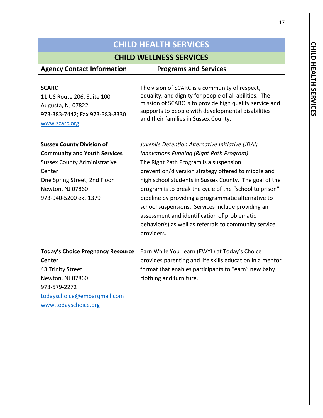## **CHILD WELLNESS SERVICES**

| <b>Agency Contact Information</b> | <b>Programs and Services</b>                            |
|-----------------------------------|---------------------------------------------------------|
|                                   |                                                         |
| <b>SCARC</b>                      | The vision of SCARC is a community of respect,          |
| 11 US Route 206, Suite 100        | equality, and dignity for people of all abilities. The  |
| Augusta, NJ 07822                 | mission of SCARC is to provide high quality service and |
| 973-383-7442; Fax 973-383-8330    | supports to people with developmental disabilities      |

and their families in Sussex County.

[www.scarc.org](http://www.scarc.org/)

| <b>Sussex County Division of</b>         | Juvenile Detention Alternative Initiative (JDAI)         |
|------------------------------------------|----------------------------------------------------------|
| <b>Community and Youth Services</b>      | Innovations Funding (Right Path Program)                 |
| <b>Sussex County Administrative</b>      | The Right Path Program is a suspension                   |
| Center                                   | prevention/diversion strategy offered to middle and      |
| One Spring Street, 2nd Floor             | high school students in Sussex County. The goal of the   |
| Newton, NJ 07860                         | program is to break the cycle of the "school to prison"  |
| 973-940-5200 ext.1379                    | pipeline by providing a programmatic alternative to      |
|                                          | school suspensions. Services include providing an        |
|                                          | assessment and identification of problematic             |
|                                          | behavior(s) as well as referrals to community service    |
|                                          | providers.                                               |
|                                          |                                                          |
| <b>Today's Choice Pregnancy Resource</b> | Earn While You Learn (EWYL) at Today's Choice            |
| Center                                   | provides parenting and life skills education in a mentor |
| 43 Trinity Street                        | format that enables participants to "earn" new baby      |
| Newton, NJ 07860                         | clothing and furniture.                                  |
| 973-579-2272                             |                                                          |
| todayschoice@embarqmail.com              |                                                          |
| www.todayschoice.org                     |                                                          |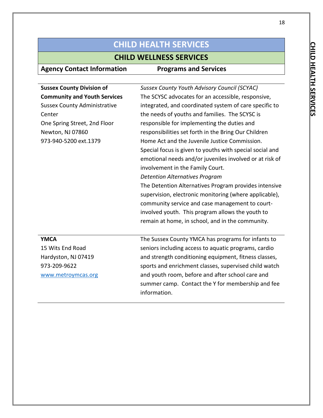### **CHILD WELLNESS SERVICES**

| <b>Agency Contact Information</b>   | <b>Programs and Services</b>                             |
|-------------------------------------|----------------------------------------------------------|
|                                     |                                                          |
| <b>Sussex County Division of</b>    | Sussex County Youth Advisory Council (SCYAC)             |
| <b>Community and Youth Services</b> | The SCYSC advocates for an accessible, responsive,       |
| <b>Sussex County Administrative</b> | integrated, and coordinated system of care specific to   |
| Center                              | the needs of youths and families. The SCYSC is           |
| One Spring Street, 2nd Floor        | responsible for implementing the duties and              |
| Newton, NJ 07860                    | responsibilities set forth in the Bring Our Children     |
| 973-940-5200 ext.1379               | Home Act and the Juvenile Justice Commission.            |
|                                     | Special focus is given to youths with special social and |
|                                     | emotional needs and/or juveniles involved or at risk of  |
|                                     | involvement in the Family Court.                         |
|                                     | <b>Detention Alternatives Program</b>                    |
|                                     | The Detention Alternatives Program provides intensive    |
|                                     | supervision, electronic monitoring (where applicable),   |
|                                     | community service and case management to court-          |
|                                     | involved youth. This program allows the youth to         |
|                                     | remain at home, in school, and in the community.         |
|                                     |                                                          |
| <b>YMCA</b>                         | The Sussex County YMCA has programs for infants to       |
| 15 Wits End Road                    | seniors including access to aquatic programs, cardio     |
| Hardyston, NJ 07419                 | and strength conditioning equipment, fitness classes,    |
| 973-209-9622                        | sports and enrichment classes, supervised child watch    |
| www.metroymcas.org                  | and youth room, before and after school care and         |
|                                     | summer camp. Contact the Y for membership and fee        |
|                                     | information.                                             |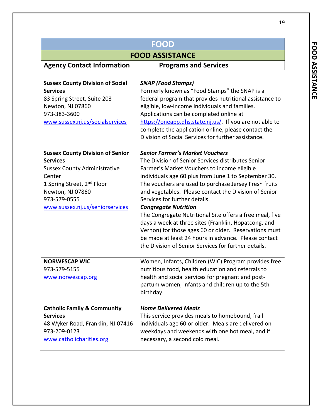| <b>FOOD</b>                             |                                                          |
|-----------------------------------------|----------------------------------------------------------|
|                                         | <b>FOOD ASSISTANCE</b>                                   |
| <b>Agency Contact Information</b>       | <b>Programs and Services</b>                             |
|                                         |                                                          |
| <b>Sussex County Division of Social</b> | <b>SNAP (Food Stamps)</b>                                |
| <b>Services</b>                         | Formerly known as "Food Stamps" the SNAP is a            |
| 83 Spring Street, Suite 203             | federal program that provides nutritional assistance to  |
| Newton, NJ 07860                        | eligible, low-income individuals and families.           |
| 973-383-3600                            | Applications can be completed online at                  |
| www.sussex.nj.us/socialservices         | https://oneapp.dhs.state.nj.us/. If you are not able to  |
|                                         | complete the application online, please contact the      |
|                                         | Division of Social Services for further assistance.      |
| <b>Sussex County Division of Senior</b> | <b>Senior Farmer's Market Vouchers</b>                   |
| <b>Services</b>                         | The Division of Senior Services distributes Senior       |
| <b>Sussex County Administrative</b>     | Farmer's Market Vouchers to income eligible              |
| Center                                  | individuals age 60 plus from June 1 to September 30.     |
| 1 Spring Street, 2 <sup>nd</sup> Floor  | The vouchers are used to purchase Jersey Fresh fruits    |
| Newton, NJ 07860                        | and vegetables. Please contact the Division of Senior    |
| 973-579-0555                            | Services for further details.                            |
| www.sussex.nj.us/seniorservices         | <b>Congregate Nutrition</b>                              |
|                                         | The Congregate Nutritional Site offers a free meal, five |
|                                         | days a week at three sites (Franklin, Hopatcong, and     |
|                                         | Vernon) for those ages 60 or older. Reservations must    |
|                                         | be made at least 24 hours in advance. Please contact     |
|                                         | the Division of Senior Services for further details.     |
|                                         |                                                          |
| <b>NORWESCAP WIC</b>                    | Women, Infants, Children (WIC) Program provides free     |
| 973-579-5155                            | nutritious food, health education and referrals to       |
| www.norwescap.org                       | health and social services for pregnant and post-        |
|                                         | partum women, infants and children up to the 5th         |
|                                         | birthday.                                                |
| <b>Catholic Family &amp; Community</b>  | <b>Home Delivered Meals</b>                              |
| <b>Services</b>                         | This service provides meals to homebound, frail          |
| 48 Wyker Road, Franklin, NJ 07416       | individuals age 60 or older. Meals are delivered on      |
| 973-209-0123                            | weekdays and weekends with one hot meal, and if          |
| www.catholicharities.org                | necessary, a second cold meal.                           |

19

J.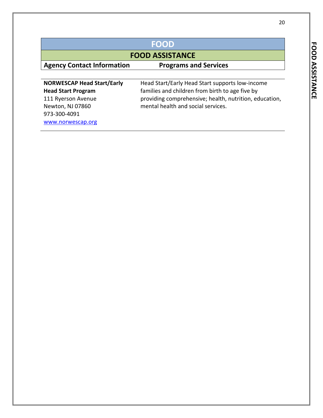| ì |  |
|---|--|
|   |  |
|   |  |
|   |  |
|   |  |
|   |  |
|   |  |
|   |  |
|   |  |
|   |  |
|   |  |
|   |  |
|   |  |

|                                                                                     | <b>FOOD</b>                                                                                                                                     |  |
|-------------------------------------------------------------------------------------|-------------------------------------------------------------------------------------------------------------------------------------------------|--|
| <b>FOOD ASSISTANCE</b>                                                              |                                                                                                                                                 |  |
| <b>Agency Contact Information</b>                                                   | <b>Programs and Services</b>                                                                                                                    |  |
| <b>NORWESCAP Head Start/Early</b>                                                   | Head Start/Early Head Start supports low-income                                                                                                 |  |
| <b>Head Start Program</b><br>111 Ryerson Avenue<br>Newton, NJ 07860<br>973-300-4091 | families and children from birth to age five by<br>providing comprehensive; health, nutrition, education,<br>mental health and social services. |  |

[www.norwescap.org](http://www.norwescap.org/)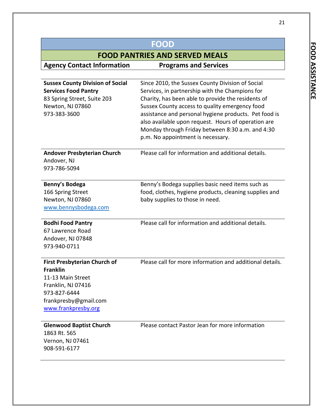| <b>FOOD</b>                                                                                                                                                       |                                                                                                                                                                                                                                                                                                                                                                                                                      |  |
|-------------------------------------------------------------------------------------------------------------------------------------------------------------------|----------------------------------------------------------------------------------------------------------------------------------------------------------------------------------------------------------------------------------------------------------------------------------------------------------------------------------------------------------------------------------------------------------------------|--|
|                                                                                                                                                                   | <b>FOOD PANTRIES AND SERVED MEALS</b>                                                                                                                                                                                                                                                                                                                                                                                |  |
| <b>Agency Contact Information</b>                                                                                                                                 | <b>Programs and Services</b>                                                                                                                                                                                                                                                                                                                                                                                         |  |
|                                                                                                                                                                   |                                                                                                                                                                                                                                                                                                                                                                                                                      |  |
| <b>Sussex County Division of Social</b><br><b>Services Food Pantry</b><br>83 Spring Street, Suite 203<br>Newton, NJ 07860<br>973-383-3600                         | Since 2010, the Sussex County Division of Social<br>Services, in partnership with the Champions for<br>Charity, has been able to provide the residents of<br>Sussex County access to quality emergency food<br>assistance and personal hygiene products. Pet food is<br>also available upon request. Hours of operation are<br>Monday through Friday between 8:30 a.m. and 4:30<br>p.m. No appointment is necessary. |  |
| <b>Andover Presbyterian Church</b><br>Andover, NJ<br>973-786-5094                                                                                                 | Please call for information and additional details.                                                                                                                                                                                                                                                                                                                                                                  |  |
| Benny's Bodega<br>166 Spring Street<br>Newton, NJ 07860<br>www.bennysbodega.com                                                                                   | Benny's Bodega supplies basic need items such as<br>food, clothes, hygiene products, cleaning supplies and<br>baby supplies to those in need.                                                                                                                                                                                                                                                                        |  |
| <b>Bodhi Food Pantry</b><br>67 Lawrence Road<br>Andover, NJ 07848<br>973-940-0711                                                                                 | Please call for information and additional details.                                                                                                                                                                                                                                                                                                                                                                  |  |
| <b>First Presbyterian Church of</b><br><b>Franklin</b><br>11-13 Main Street<br>Franklin, NJ 07416<br>973-827-6444<br>frankpresby@gmail.com<br>www.frankpresby.org | Please call for more information and additional details.                                                                                                                                                                                                                                                                                                                                                             |  |
| <b>Glenwood Baptist Church</b><br>1863 Rt. 565<br>Vernon, NJ 07461<br>908-591-6177                                                                                | Please contact Pastor Jean for more information                                                                                                                                                                                                                                                                                                                                                                      |  |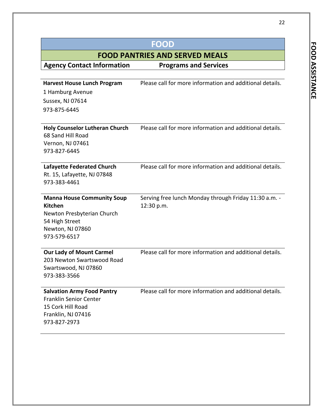|                                                                                                                                         | FOOD                                                                |
|-----------------------------------------------------------------------------------------------------------------------------------------|---------------------------------------------------------------------|
|                                                                                                                                         | <b>FOOD PANTRIES AND SERVED MEALS</b>                               |
| <b>Agency Contact Information</b>                                                                                                       | <b>Programs and Services</b>                                        |
|                                                                                                                                         |                                                                     |
| <b>Harvest House Lunch Program</b>                                                                                                      | Please call for more information and additional details.            |
| 1 Hamburg Avenue                                                                                                                        |                                                                     |
| Sussex, NJ 07614                                                                                                                        |                                                                     |
| 973-875-6445                                                                                                                            |                                                                     |
| <b>Holy Counselor Lutheran Church</b><br>68 Sand Hill Road<br>Vernon, NJ 07461<br>973-827-6445                                          | Please call for more information and additional details.            |
| <b>Lafayette Federated Church</b><br>Rt. 15, Lafayette, NJ 07848<br>973-383-4461                                                        | Please call for more information and additional details.            |
| <b>Manna House Community Soup</b><br><b>Kitchen</b><br>Newton Presbyterian Church<br>54 High Street<br>Newton, NJ 07860<br>973-579-6517 | Serving free lunch Monday through Friday 11:30 a.m. -<br>12:30 p.m. |
| <b>Our Lady of Mount Carmel</b><br>203 Newton Swartswood Road<br>Swartswood, NJ 07860<br>973-383-3566                                   | Please call for more information and additional details.            |
| <b>Salvation Army Food Pantry</b><br><b>Franklin Senior Center</b><br>15 Cork Hill Road<br>Franklin, NJ 07416<br>973-827-2973           | Please call for more information and additional details.            |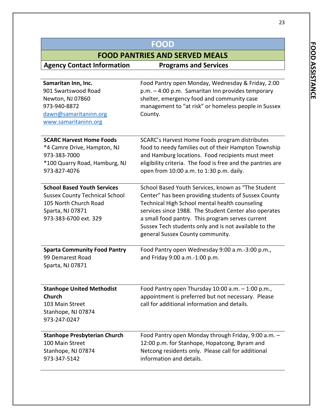23

| <b>FOOD</b>                                                                                                                                       |                                                                                                                                                                                                                                                                                                                                                                        |
|---------------------------------------------------------------------------------------------------------------------------------------------------|------------------------------------------------------------------------------------------------------------------------------------------------------------------------------------------------------------------------------------------------------------------------------------------------------------------------------------------------------------------------|
|                                                                                                                                                   | <b>FOOD PANTRIES AND SERVED MEALS</b>                                                                                                                                                                                                                                                                                                                                  |
| <b>Agency Contact Information</b>                                                                                                                 | <b>Programs and Services</b>                                                                                                                                                                                                                                                                                                                                           |
|                                                                                                                                                   |                                                                                                                                                                                                                                                                                                                                                                        |
| Samaritan Inn, Inc.<br>901 Swartswood Road<br>Newton, NJ 07860                                                                                    | Food Pantry open Monday, Wednesday & Friday, 2:00<br>$p.m. - 4:00 p.m.$ Samaritan Inn provides temporary<br>shelter, emergency food and community case                                                                                                                                                                                                                 |
| 973-940-8872<br>dawn@samaritaninn.org                                                                                                             | management to "at risk" or homeless people in Sussex<br>County.                                                                                                                                                                                                                                                                                                        |
| www.samaritaninn.org                                                                                                                              |                                                                                                                                                                                                                                                                                                                                                                        |
| <b>SCARC Harvest Home Foods</b><br>*4 Camre Drive, Hampton, NJ<br>973-383-7000<br>*100 Quarry Road, Hamburg, NJ<br>973-827-4076                   | SCARC's Harvest Home Foods program distributes<br>food to needy families out of their Hampton Township<br>and Hamburg locations. Food recipients must meet<br>eligibility criteria. The food is free and the pantries are<br>open from 10:00 a.m. to 1:30 p.m. daily.                                                                                                  |
| <b>School Based Youth Services</b><br><b>Sussex County Technical School</b><br>105 North Church Road<br>Sparta, NJ 07871<br>973-383-6700 ext. 329 | School Based Youth Services, known as "The Student<br>Center" has been providing students of Sussex County<br>Technical High School mental health counseling<br>services since 1988. The Student Center also operates<br>a small food pantry. This program serves current<br>Sussex Tech students only and is not available to the<br>general Sussex County community. |
| <b>Sparta Community Food Pantry</b><br>99 Demarest Road<br>Sparta, NJ 07871                                                                       | Food Pantry open Wednesday 9:00 a.m.-3:00 p.m.,<br>and Friday 9:00 a.m.-1:00 p.m.                                                                                                                                                                                                                                                                                      |
| <b>Stanhope United Methodist</b><br><b>Church</b><br>103 Main Street<br>Stanhope, NJ 07874<br>973-247-0247                                        | Food Pantry open Thursday $10:00$ a.m. $-1:00$ p.m.,<br>appointment is preferred but not necessary. Please<br>call for additional information and details.                                                                                                                                                                                                             |
| <b>Stanhope Presbyterian Church</b><br>100 Main Street<br>Stanhope, NJ 07874<br>973-347-5142                                                      | Food Pantry open Monday through Friday, 9:00 a.m. -<br>12:00 p.m. for Stanhope, Hopatcong, Byram and<br>Netcong residents only. Please call for additional<br>information and details.                                                                                                                                                                                 |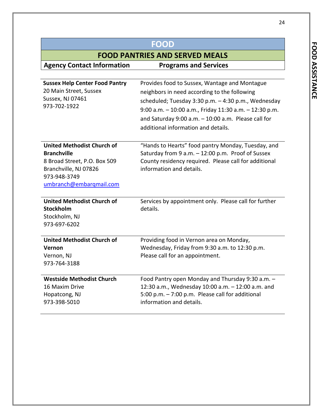24

| <b>FOOD</b>                                                                                                                                                 |                                                                                                                                                                                                                                                                                                               |
|-------------------------------------------------------------------------------------------------------------------------------------------------------------|---------------------------------------------------------------------------------------------------------------------------------------------------------------------------------------------------------------------------------------------------------------------------------------------------------------|
| <b>FOOD PANTRIES AND SERVED MEALS</b>                                                                                                                       |                                                                                                                                                                                                                                                                                                               |
| <b>Agency Contact Information</b>                                                                                                                           | <b>Programs and Services</b>                                                                                                                                                                                                                                                                                  |
|                                                                                                                                                             |                                                                                                                                                                                                                                                                                                               |
| <b>Sussex Help Center Food Pantry</b><br>20 Main Street, Sussex<br>Sussex, NJ 07461<br>973-702-1922                                                         | Provides food to Sussex, Wantage and Montague<br>neighbors in need according to the following<br>scheduled; Tuesday 3:30 p.m. - 4:30 p.m., Wednesday<br>9:00 a.m. - 10:00 a.m., Friday 11:30 a.m. - 12:30 p.m.<br>and Saturday 9:00 a.m. $-10:00$ a.m. Please call for<br>additional information and details. |
| <b>United Methodist Church of</b><br><b>Branchville</b><br>8 Broad Street, P.O. Box 509<br>Branchville, NJ 07826<br>973-948-3749<br>umbranch@embarqmail.com | "Hands to Hearts" food pantry Monday, Tuesday, and<br>Saturday from 9 a.m. - 12:00 p.m. Proof of Sussex<br>County residency required. Please call for additional<br>information and details.                                                                                                                  |
| <b>United Methodist Church of</b><br><b>Stockholm</b><br>Stockholm, NJ<br>973-697-6202                                                                      | Services by appointment only. Please call for further<br>details.                                                                                                                                                                                                                                             |
| <b>United Methodist Church of</b><br><b>Vernon</b><br>Vernon, NJ<br>973-764-3188                                                                            | Providing food in Vernon area on Monday,<br>Wednesday, Friday from 9:30 a.m. to 12:30 p.m.<br>Please call for an appointment.                                                                                                                                                                                 |
| <b>Westside Methodist Church</b><br>16 Maxim Drive<br>Hopatcong, NJ<br>973-398-5010                                                                         | Food Pantry open Monday and Thursday 9:30 a.m. -<br>12:30 a.m., Wednesday 10:00 a.m. - 12:00 a.m. and<br>5:00 p.m. - 7:00 p.m. Please call for additional<br>information and details.                                                                                                                         |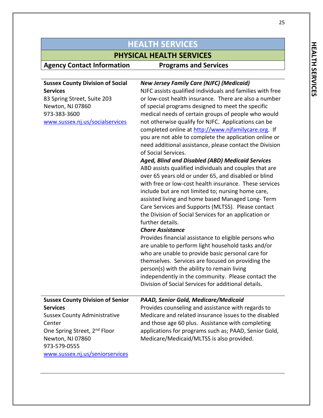# **PHYSICAL HEALTH SERVICES**<br>ation **Programs and Services**

| <b>Sussex County Division of Social</b><br><b>Services</b>                                                                                                                          | <b>New Jersey Family Care (NJFC) (Medicaid)</b><br>NJFC assists qualified individuals and families with free                                                                                                                                                                                                                                                                                                                                                                                                                                                                                                                                                                                                                                                                                                                                                                                                                                                                                        |
|-------------------------------------------------------------------------------------------------------------------------------------------------------------------------------------|-----------------------------------------------------------------------------------------------------------------------------------------------------------------------------------------------------------------------------------------------------------------------------------------------------------------------------------------------------------------------------------------------------------------------------------------------------------------------------------------------------------------------------------------------------------------------------------------------------------------------------------------------------------------------------------------------------------------------------------------------------------------------------------------------------------------------------------------------------------------------------------------------------------------------------------------------------------------------------------------------------|
| 83 Spring Street, Suite 203<br>Newton, NJ 07860<br>973-383-3600<br>www.sussex.nj.us/socialservices                                                                                  | or low-cost health insurance. There are also a number<br>of special programs designed to meet the specific<br>medical needs of certain groups of people who would<br>not otherwise qualify for NJFC. Applications can be<br>completed online at http://www.njfamilycare.org. If<br>you are not able to complete the application online or<br>need additional assistance, please contact the Division<br>of Social Services.<br><b>Aged, Blind and Disabled (ABD) Medicaid Services</b><br>ABD assists qualified individuals and couples that are<br>over 65 years old or under 65, and disabled or blind<br>with free or low-cost health insurance. These services<br>include but are not limited to; nursing home care,<br>assisted living and home based Managed Long-Term<br>Care Services and Supports (MLTSS). Please contact<br>the Division of Social Services for an application or<br>further details.<br><b>Chore Assistance</b><br>Provides financial assistance to eligible persons who |
|                                                                                                                                                                                     | are unable to perform light household tasks and/or<br>who are unable to provide basic personal care for<br>themselves. Services are focused on providing the<br>person(s) with the ability to remain living<br>independently in the community. Please contact the<br>Division of Social Services for additional details.                                                                                                                                                                                                                                                                                                                                                                                                                                                                                                                                                                                                                                                                            |
| <b>Sussex County Division of Senior</b>                                                                                                                                             | PAAD, Senior Gold, Medicare/Medicaid                                                                                                                                                                                                                                                                                                                                                                                                                                                                                                                                                                                                                                                                                                                                                                                                                                                                                                                                                                |
| <b>Services</b><br><b>Sussex County Administrative</b><br>Center<br>One Spring Street, 2 <sup>nd</sup> Floor<br>Newton, NJ 07860<br>973-579-0555<br>www.sussex.nj.us/seniorservices | Provides counseling and assistance with regards to<br>Medicare and related insurance issues to the disabled<br>and those age 60 plus. Assistance with completing<br>applications for programs such as; PAAD, Senior Gold,<br>Medicare/Medicaid/MLTSS is also provided.                                                                                                                                                                                                                                                                                                                                                                                                                                                                                                                                                                                                                                                                                                                              |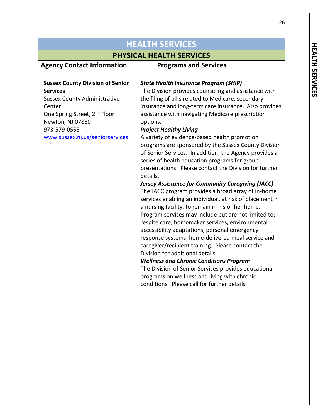# **PHYSICAL HEALTH SERVICES**<br>ation **Programs and Services**

| <b>Sussex County Division of Senior</b>  | <b>State Health Insurance Program (SHIP)</b>             |
|------------------------------------------|----------------------------------------------------------|
| <b>Services</b>                          | The Division provides counseling and assistance with     |
| <b>Sussex County Administrative</b>      | the filing of bills related to Medicare, secondary       |
| Center                                   | insurance and long-term care insurance. Also provides    |
| One Spring Street, 2 <sup>nd</sup> Floor | assistance with navigating Medicare prescription         |
| Newton, NJ 07860                         | options.                                                 |
| 973-579-0555                             | <b>Project Healthy Living</b>                            |
| www.sussex.nj.us/seniorservices          | A variety of evidence-based health promotion             |
|                                          | programs are sponsored by the Sussex County Division     |
|                                          | of Senior Services. In addition, the Agency provides a   |
|                                          | series of health education programs for group            |
|                                          | presentations. Please contact the Division for further   |
|                                          | details.                                                 |
|                                          | <b>Jersey Assistance for Community Caregiving (JACC)</b> |
|                                          | The JACC program provides a broad array of in-home       |
|                                          | services enabling an individual, at risk of placement in |
|                                          | a nursing facility, to remain in his or her home.        |
|                                          | Program services may include but are not limited to;     |
|                                          | respite care, homemaker services, environmental          |
|                                          | accessibility adaptations, personal emergency            |
|                                          | response systems, home-delivered meal service and        |
|                                          | caregiver/recipient training. Please contact the         |
|                                          | Division for additional details.                         |
|                                          | <b>Wellness and Chronic Conditions Program</b>           |
|                                          | The Division of Senior Services provides educational     |
|                                          | programs on wellness and living with chronic             |
|                                          | conditions. Please call for further details.             |
|                                          |                                                          |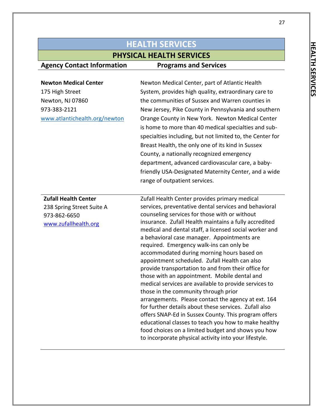# **PHYSICAL HEALTH SERVICES**<br>ation **Programs and Services**

| <b>Newton Medical Center</b><br>175 High Street<br>Newton, NJ 07860<br>973-383-2121<br>www.atlantichealth.org/newton | Newton Medical Center, part of Atlantic Health<br>System, provides high quality, extraordinary care to<br>the communities of Sussex and Warren counties in<br>New Jersey, Pike County in Pennsylvania and southern<br>Orange County in New York. Newton Medical Center<br>is home to more than 40 medical specialties and sub-<br>specialties including, but not limited to, the Center for<br>Breast Health, the only one of its kind in Sussex                                                                                                                                                                                                                                                                                                                                                                                                                                                                                                                                                                            |
|----------------------------------------------------------------------------------------------------------------------|-----------------------------------------------------------------------------------------------------------------------------------------------------------------------------------------------------------------------------------------------------------------------------------------------------------------------------------------------------------------------------------------------------------------------------------------------------------------------------------------------------------------------------------------------------------------------------------------------------------------------------------------------------------------------------------------------------------------------------------------------------------------------------------------------------------------------------------------------------------------------------------------------------------------------------------------------------------------------------------------------------------------------------|
|                                                                                                                      | County, a nationally recognized emergency<br>department, advanced cardiovascular care, a baby-<br>friendly USA-Designated Maternity Center, and a wide<br>range of outpatient services.                                                                                                                                                                                                                                                                                                                                                                                                                                                                                                                                                                                                                                                                                                                                                                                                                                     |
| <b>Zufall Health Center</b><br>238 Spring Street Suite A<br>973-862-6650<br>www.zufallhealth.org                     | Zufall Health Center provides primary medical<br>services, preventative dental services and behavioral<br>counseling services for those with or without<br>insurance. Zufall Health maintains a fully accredited<br>medical and dental staff, a licensed social worker and<br>a behavioral case manager. Appointments are<br>required. Emergency walk-ins can only be<br>accommodated during morning hours based on<br>appointment scheduled. Zufall Health can also<br>provide transportation to and from their office for<br>those with an appointment. Mobile dental and<br>medical services are available to provide services to<br>those in the community through prior<br>arrangements. Please contact the agency at ext. 164<br>for further details about these services. Zufall also<br>offers SNAP-Ed in Sussex County. This program offers<br>educational classes to teach you how to make healthy<br>food choices on a limited budget and shows you how<br>to incorporate physical activity into your lifestyle. |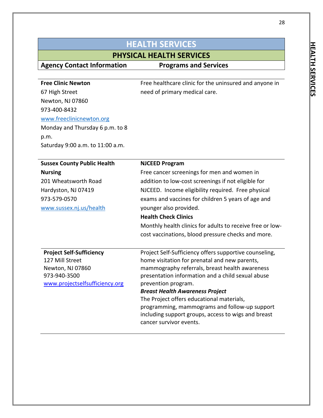| <b>HEALTH SERVICES</b>              |                                                                                                 |
|-------------------------------------|-------------------------------------------------------------------------------------------------|
| <b>PHYSICAL HEALTH SERVICES</b>     |                                                                                                 |
| <b>Agency Contact Information</b>   | <b>Programs and Services</b>                                                                    |
|                                     |                                                                                                 |
| <b>Free Clinic Newton</b>           | Free healthcare clinic for the uninsured and anyone in                                          |
| 67 High Street                      | need of primary medical care.                                                                   |
| Newton, NJ 07860                    |                                                                                                 |
| 973-400-8432                        |                                                                                                 |
| www.freeclinicnewton.org            |                                                                                                 |
| Monday and Thursday 6 p.m. to 8     |                                                                                                 |
| p.m.                                |                                                                                                 |
| Saturday 9:00 a.m. to 11:00 a.m.    |                                                                                                 |
| <b>Sussex County Public Health</b>  | <b>NJCEED Program</b>                                                                           |
| <b>Nursing</b>                      | Free cancer screenings for men and women in                                                     |
| 201 Wheatsworth Road                | addition to low-cost screenings if not eligible for                                             |
| Hardyston, NJ 07419                 | NJCEED. Income eligibility required. Free physical                                              |
| 973-579-0570                        | exams and vaccines for children 5 years of age and                                              |
| www.sussex.nj.us/health             | younger also provided.                                                                          |
|                                     | <b>Health Check Clinics</b>                                                                     |
|                                     | Monthly health clinics for adults to receive free or low-                                       |
|                                     | cost vaccinations, blood pressure checks and more.                                              |
| <b>Project Self-Sufficiency</b>     | Project Self-Sufficiency offers supportive counseling,                                          |
| 127 Mill Street<br>Newton, NJ 07860 | home visitation for prenatal and new parents,<br>mammography referrals, breast health awareness |
| 973-940-3500                        | presentation information and a child sexual abuse                                               |
| www.projectselfsufficiency.org      | prevention program.                                                                             |
|                                     | <b>Breast Health Awareness Project</b>                                                          |
|                                     | The Project offers educational materials,                                                       |
|                                     | programming, mammograms and follow-up support                                                   |
|                                     | including support groups, access to wigs and breast<br>cancer survivor events.                  |
|                                     |                                                                                                 |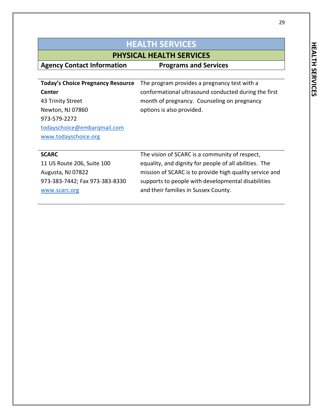29

| <b>HEALTH SERVICES</b>                                               |                                                                                                                                                       |
|----------------------------------------------------------------------|-------------------------------------------------------------------------------------------------------------------------------------------------------|
| <b>PHYSICAL HEALTH SERVICES</b>                                      |                                                                                                                                                       |
| <b>Agency Contact Information</b>                                    | <b>Programs and Services</b>                                                                                                                          |
| <b>Today's Choice Pregnancy Resource</b><br>Center                   | The program provides a pregnancy test with a<br>conformational ultrasound conducted during the first                                                  |
| 43 Trinity Street                                                    | month of pregnancy. Counseling on pregnancy                                                                                                           |
| Newton, NJ 07860<br>973-579-2272<br>todayschoice@embarqmail.com      | options is also provided.                                                                                                                             |
| www.todayschoice.org                                                 |                                                                                                                                                       |
| <b>SCARC</b>                                                         | The vision of SCARC is a community of respect,                                                                                                        |
| 11 US Route 206, Suite 100                                           | equality, and dignity for people of all abilities. The                                                                                                |
| Augusta, NJ 07822<br>973-383-7442; Fax 973-383-8330<br>www.scarc.org | mission of SCARC is to provide high quality service and<br>supports to people with developmental disabilities<br>and their families in Sussex County. |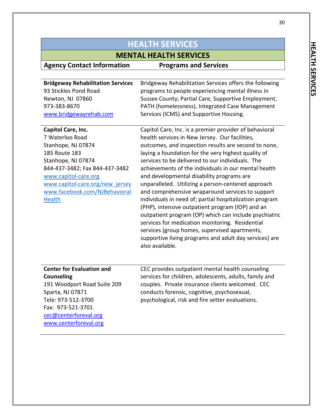| <b>HEALTH SERVICES</b>                                                                                                                                                                                                                                                                                                                                                               |                                                                                                                                                                                                                                                                                                                                                                                                                                                                                                                                                                                                                                                                                                                                                                                                                                                                                                                                                                                                                                                                                                                         |
|--------------------------------------------------------------------------------------------------------------------------------------------------------------------------------------------------------------------------------------------------------------------------------------------------------------------------------------------------------------------------------------|-------------------------------------------------------------------------------------------------------------------------------------------------------------------------------------------------------------------------------------------------------------------------------------------------------------------------------------------------------------------------------------------------------------------------------------------------------------------------------------------------------------------------------------------------------------------------------------------------------------------------------------------------------------------------------------------------------------------------------------------------------------------------------------------------------------------------------------------------------------------------------------------------------------------------------------------------------------------------------------------------------------------------------------------------------------------------------------------------------------------------|
| <b>MENTAL HEALTH SERVICES</b>                                                                                                                                                                                                                                                                                                                                                        |                                                                                                                                                                                                                                                                                                                                                                                                                                                                                                                                                                                                                                                                                                                                                                                                                                                                                                                                                                                                                                                                                                                         |
| <b>Agency Contact Information</b>                                                                                                                                                                                                                                                                                                                                                    | <b>Programs and Services</b>                                                                                                                                                                                                                                                                                                                                                                                                                                                                                                                                                                                                                                                                                                                                                                                                                                                                                                                                                                                                                                                                                            |
| <b>Bridgeway Rehabilitation Services</b><br>93 Stickles Pond Road<br>Newton, NJ 07860<br>973-383-8670<br>www.bridgewayrehab.com<br>Capitol Care, Inc.<br>7 Waterloo Road<br>Stanhope, NJ 07874<br>185 Route 183<br>Stanhope, NJ 07874<br>844-437-3482; Fax 844-437-3482<br>www.capitol-care.org<br>www.capitol-care.org/new jersey<br>www.facebook.com/NJBehavioral<br><b>Health</b> | Bridgeway Rehabilitation Services offers the following<br>programs to people experiencing mental illness in<br>Sussex County; Partial Care, Supportive Employment,<br>PATH (homelessness), Integrated Case Management<br>Services (ICMS) and Supportive Housing.<br>Capitol Care, Inc. is a premier provider of behavioral<br>health services in New Jersey. Our facilities,<br>outcomes, and inspection results are second to none,<br>laying a foundation for the very highest quality of<br>services to be delivered to our individuals. The<br>achievements of the individuals in our mental health<br>and developmental disability programs are<br>unparalleled. Utilizing a person-centered approach<br>and comprehensive wraparound services to support<br>individuals in need of; partial hospitalization program<br>(PHP), intensive outpatient program (IOP) and an<br>outpatient program (OP) which can include psychiatric<br>services for medication monitoring. Residential<br>services (group homes, supervised apartments,<br>supportive living programs and adult day services) are<br>also available. |
| <b>Center for Evaluation and</b><br><b>Counseling</b><br>191 Woodport Road Suite 209<br>Sparta, NJ 07871<br>Tele: 973-512-3700<br>Fax: 973-521-3701<br>cec@centerforeval.org<br>www.centerforeval.org                                                                                                                                                                                | CEC provides outpatient mental health counseling<br>services for children, adolescents, adults, family and<br>couples. Private insurance clients welcomed. CEC<br>conducts forensic, cognitive, psychosexual,<br>psychological, risk and fire setter evaluations.                                                                                                                                                                                                                                                                                                                                                                                                                                                                                                                                                                                                                                                                                                                                                                                                                                                       |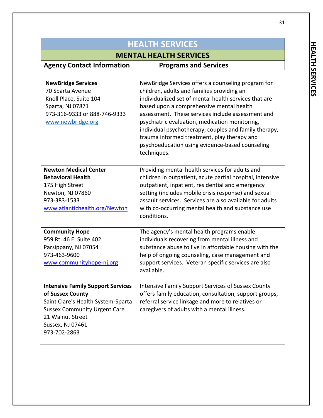### **HEALTH SERVICES MENTAL HEALTH SERVICES Agency Contact Information Programs and Services NewBridge Services**  70 Sparta Avenue Knoll Place, Suite 104 Sparta, NJ 07871 973-316-9333 or 888-746-9333 [www.newbridge.org](http://www.newbridge.org/) NewBridge Services offers a counseling program for children, adults and families providing an individualized set of mental health services that are based upon a comprehensive mental health assessment. These services include assessment and psychiatric evaluation, medication monitoring, individual psychotherapy, couples and family therapy, trauma informed treatment, play therapy and psychoeducation using evidence-based counseling techniques. **Newton Medical Center Behavioral Health** 175 High Street Newton, NJ 07860 973-383-1533 [www.atlantichealth.org/](http://www.atlantichealth.org/)Newton Providing mental health services for adults and children in outpatient, acute partial hospital, intensive outpatient, inpatient, residential and emergency setting (includes mobile crisis response) and sexual assault services. Services are also available for adults with co-occurring mental health and substance use conditions. **Community Hope** 959 Rt. 46 E. Suite 402 Parsippany, NJ 07054 973-463-9600 [www.communityhope-nj.org](http://www.communityhope-nj.org/) The agency's mental health programs enable individuals recovering from mental illness and substance abuse to live in affordable housing with the help of ongoing counseling, case management and support services. Veteran specific services are also available. **Intensive Family Support Services of Sussex County** Saint Clare's Health System-Sparta Sussex Community Urgent Care 21 Walnut Street Sussex, NJ 07461 973-702-2863 Intensive Family Support Services of Sussex County offers family education, consultation, support groups, referral service linkage and more to relatives or caregivers of adults with a mental illness.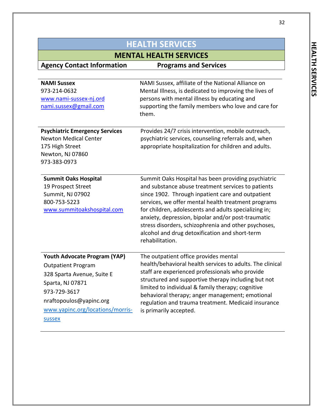32

| <b>HEALTH SERVICES</b>                                                                                                                                                                                                |                                                                                                                                                                                                                                                                                                                                                                                                                                                                   |
|-----------------------------------------------------------------------------------------------------------------------------------------------------------------------------------------------------------------------|-------------------------------------------------------------------------------------------------------------------------------------------------------------------------------------------------------------------------------------------------------------------------------------------------------------------------------------------------------------------------------------------------------------------------------------------------------------------|
| <b>MENTAL HEALTH SERVICES</b>                                                                                                                                                                                         |                                                                                                                                                                                                                                                                                                                                                                                                                                                                   |
| <b>Agency Contact Information</b>                                                                                                                                                                                     | <b>Programs and Services</b>                                                                                                                                                                                                                                                                                                                                                                                                                                      |
| <b>NAMI Sussex</b><br>973-214-0632<br>www.nami-sussex-nj.ord<br>nami.sussex@gmail.com<br><b>Psychiatric Emergency Services</b><br><b>Newton Medical Center</b><br>175 High Street<br>Newton, NJ 07860<br>973-383-0973 | NAMI Sussex, affiliate of the National Alliance on<br>Mental Illness, is dedicated to improving the lives of<br>persons with mental illness by educating and<br>supporting the family members who love and care for<br>them.<br>Provides 24/7 crisis intervention, mobile outreach,<br>psychiatric services, counseling referrals and, when<br>appropriate hospitalization for children and adults.                                                               |
| <b>Summit Oaks Hospital</b><br>19 Prospect Street<br>Summit, NJ 07902<br>800-753-5223<br>www.summitoakshospital.com                                                                                                   | Summit Oaks Hospital has been providing psychiatric<br>and substance abuse treatment services to patients<br>since 1902. Through inpatient care and outpatient<br>services, we offer mental health treatment programs<br>for children, adolescents and adults specializing in;<br>anxiety, depression, bipolar and/or post-traumatic<br>stress disorders, schizophrenia and other psychoses,<br>alcohol and drug detoxification and short-term<br>rehabilitation. |
| Youth Advocate Program (YAP)<br><b>Outpatient Program</b><br>328 Sparta Avenue, Suite E<br>Sparta, NJ 07871<br>973-729-3617<br>nraftopoulos@yapinc.org<br>www.yapinc.org/locations/morris-<br><b>SUSSEX</b>           | The outpatient office provides mental<br>health/behavioral health services to adults. The clinical<br>staff are experienced professionals who provide<br>structured and supportive therapy including but not<br>limited to individual & family therapy; cognitive<br>behavioral therapy; anger management; emotional<br>regulation and trauma treatment. Medicaid insurance<br>is primarily accepted.                                                             |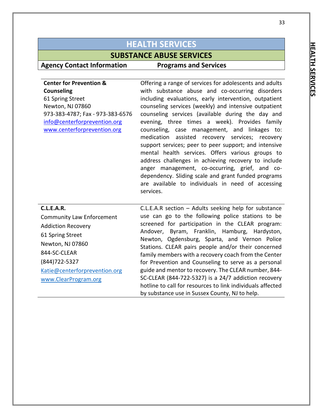### **SUBSTANCE ABUSE SERVICES**

### **Agency Contact Information Programs and Services**

**Center for Prevention & Counseling** 61 Spring Street Newton, NJ 07860 973-383-4787; Fax - 973-383-6576 [info@centerforprevention.org](mailto:info@centerforprevention.org) [www.centerforprevention.org](http://www.centerforprevention.org/) Offering a range of services for adolescents and adults with substance abuse and co-occurring disorders including evaluations, early intervention, outpatient counseling services (weekly) and intensive outpatient counseling services (available during the day and evening, three times a week). Provides family counseling, case management, and linkages to: medication assisted recovery services; recovery support services; peer to peer support; and intensive mental health services. Offers various groups to address challenges in achieving recovery to include anger management, co-occurring, grief, and codependency. Sliding scale and grant funded programs are available to individuals in need of accessing services. **C.L.E.A.R.** Community Law Enforcement Addiction Recovery 61 Spring Street Newton, NJ 07860 844-SC-CLEAR (844)722-5327 [Katie@centerforprevention.org](mailto:Katie@centerforprevention.org) C.L.E.A.R section – Adults seeking help for substance use can go to the following police stations to be screened for participation in the CLEAR program: Andover, Byram, Franklin, Hamburg, Hardyston, Newton, Ogdensburg, Sparta, and Vernon Police Stations. CLEAR pairs people and/or their concerned family members with a recovery coach from the Center for Prevention and Counseling to serve as a personal guide and mentor to recovery. The CLEAR number, 844- SC-CLEAR (844-722-5327) is a 24/7 addiction recovery

[www.ClearProgram.org](http://www.clearprogram.org/)

hotline to call for resources to link individuals affected by substance use in Sussex County, NJ to help.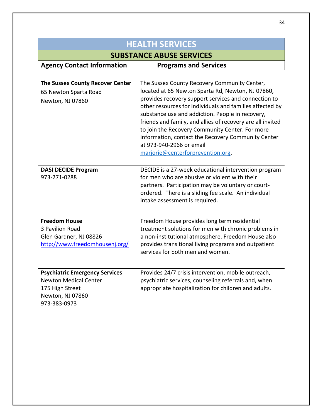| <b>HEALTH SERVICES</b>                                                                                                       |                                                                                                                                                                                                                                                                                                                                                                                                                                                                                                                   |
|------------------------------------------------------------------------------------------------------------------------------|-------------------------------------------------------------------------------------------------------------------------------------------------------------------------------------------------------------------------------------------------------------------------------------------------------------------------------------------------------------------------------------------------------------------------------------------------------------------------------------------------------------------|
|                                                                                                                              | <b>SUBSTANCE ABUSE SERVICES</b>                                                                                                                                                                                                                                                                                                                                                                                                                                                                                   |
| <b>Agency Contact Information</b>                                                                                            | <b>Programs and Services</b>                                                                                                                                                                                                                                                                                                                                                                                                                                                                                      |
|                                                                                                                              |                                                                                                                                                                                                                                                                                                                                                                                                                                                                                                                   |
| <b>The Sussex County Recover Center</b><br>65 Newton Sparta Road<br>Newton, NJ 07860                                         | The Sussex County Recovery Community Center,<br>located at 65 Newton Sparta Rd, Newton, NJ 07860,<br>provides recovery support services and connection to<br>other resources for individuals and families affected by<br>substance use and addiction. People in recovery,<br>friends and family, and allies of recovery are all invited<br>to join the Recovery Community Center. For more<br>information, contact the Recovery Community Center<br>at 973-940-2966 or email<br>marjorie@centerforprevention.org. |
| <b>DASI DECIDE Program</b><br>973-271-0288                                                                                   | DECIDE is a 27-week educational intervention program<br>for men who are abusive or violent with their<br>partners. Participation may be voluntary or court-<br>ordered. There is a sliding fee scale. An individual<br>intake assessment is required.                                                                                                                                                                                                                                                             |
| <b>Freedom House</b><br>3 Pavilion Road<br>Glen Gardner, NJ 08826<br>http://www.freedomhousenj.org/                          | Freedom House provides long term residential<br>treatment solutions for men with chronic problems in<br>a non-institutional atmosphere. Freedom House also<br>provides transitional living programs and outpatient<br>services for both men and women.                                                                                                                                                                                                                                                            |
| <b>Psychiatric Emergency Services</b><br><b>Newton Medical Center</b><br>175 High Street<br>Newton, NJ 07860<br>973-383-0973 | Provides 24/7 crisis intervention, mobile outreach,<br>psychiatric services, counseling referrals and, when<br>appropriate hospitalization for children and adults.                                                                                                                                                                                                                                                                                                                                               |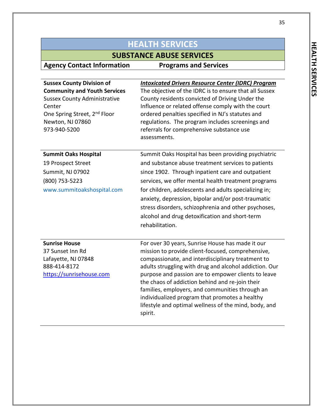# **SUBSTANCE ABUSE SERVICES**<br>mation Programs and Services

| <b>Sussex County Division of</b><br><b>Community and Youth Services</b><br><b>Sussex County Administrative</b><br>Center<br>One Spring Street, 2 <sup>nd</sup> Floor<br>Newton, NJ 07860<br>973-940-5200 | <b>Intoxicated Drivers Resource Center (IDRC) Program</b><br>The objective of the IDRC is to ensure that all Sussex<br>County residents convicted of Driving Under the<br>Influence or related offense comply with the court<br>ordered penalties specified in NJ's statutes and<br>regulations. The program includes screenings and<br>referrals for comprehensive substance use<br>assessments.                                                                                                       |
|----------------------------------------------------------------------------------------------------------------------------------------------------------------------------------------------------------|---------------------------------------------------------------------------------------------------------------------------------------------------------------------------------------------------------------------------------------------------------------------------------------------------------------------------------------------------------------------------------------------------------------------------------------------------------------------------------------------------------|
| <b>Summit Oaks Hospital</b><br>19 Prospect Street<br>Summit, NJ 07902<br>(800) 753-5223<br>www.summitoakshospital.com                                                                                    | Summit Oaks Hospital has been providing psychiatric<br>and substance abuse treatment services to patients<br>since 1902. Through inpatient care and outpatient<br>services, we offer mental health treatment programs<br>for children, adolescents and adults specializing in;<br>anxiety, depression, bipolar and/or post-traumatic<br>stress disorders, schizophrenia and other psychoses,<br>alcohol and drug detoxification and short-term<br>rehabilitation.                                       |
| <b>Sunrise House</b><br>37 Sunset Inn Rd<br>Lafayette, NJ 07848<br>888-414-8172<br>https://sunrisehouse.com                                                                                              | For over 30 years, Sunrise House has made it our<br>mission to provide client-focused, comprehensive,<br>compassionate, and interdisciplinary treatment to<br>adults struggling with drug and alcohol addiction. Our<br>purpose and passion are to empower clients to leave<br>the chaos of addiction behind and re-join their<br>families, employers, and communities through an<br>individualized program that promotes a healthy<br>lifestyle and optimal wellness of the mind, body, and<br>spirit. |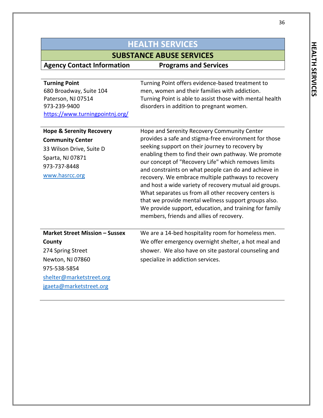## **SUBSTANCE ABUSE SERVICES**

| <b>Turning Point</b><br>680 Broadway, Suite 104<br>Paterson, NJ 07514<br>973-239-9400<br>https://www.turningpointnj.org/                                        | Turning Point offers evidence-based treatment to<br>men, women and their families with addiction.<br>Turning Point is able to assist those with mental health<br>disorders in addition to pregnant women.                                                                                                                                                                                                                                                                                                                                                                                                                                                           |
|-----------------------------------------------------------------------------------------------------------------------------------------------------------------|---------------------------------------------------------------------------------------------------------------------------------------------------------------------------------------------------------------------------------------------------------------------------------------------------------------------------------------------------------------------------------------------------------------------------------------------------------------------------------------------------------------------------------------------------------------------------------------------------------------------------------------------------------------------|
| <b>Hope &amp; Serenity Recovery</b><br><b>Community Center</b><br>33 Wilson Drive, Suite D<br>Sparta, NJ 07871<br>973-737-8448<br>www.hasrcc.org                | Hope and Serenity Recovery Community Center<br>provides a safe and stigma-free environment for those<br>seeking support on their journey to recovery by<br>enabling them to find their own pathway. We promote<br>our concept of "Recovery Life" which removes limits<br>and constraints on what people can do and achieve in<br>recovery. We embrace multiple pathways to recovery<br>and host a wide variety of recovery mutual aid groups.<br>What separates us from all other recovery centers is<br>that we provide mental wellness support groups also.<br>We provide support, education, and training for family<br>members, friends and allies of recovery. |
| <b>Market Street Mission - Sussex</b><br>County<br>274 Spring Street<br>Newton, NJ 07860<br>975-538-5854<br>shelter@marketstreet.org<br>jgaeta@marketstreet.org | We are a 14-bed hospitality room for homeless men.<br>We offer emergency overnight shelter, a hot meal and<br>shower. We also have on site pastoral counseling and<br>specialize in addiction services.                                                                                                                                                                                                                                                                                                                                                                                                                                                             |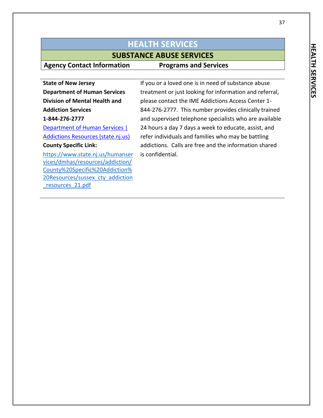### **SUBSTANCE ABUSE SERVICES**

**Agency Contact Information Programs and Services**

**State of New Jersey Department of Human Services Division of Mental Health and Addiction Services 1-844-276-2777** [Department of Human Services |](https://www.state.nj.us/humanservices/dmhas/resources/addiction/)  [Addictions Resources \(state.nj.us\)](https://www.state.nj.us/humanservices/dmhas/resources/addiction/)

### **County Specific Link:**

[https://www.state.nj.us/humanser](https://www.state.nj.us/humanservices/dmhas/resources/addiction/County%20Specific%20Addiction%20Resources/sussex_cty_addiction_resources_21.pdf) [vices/dmhas/resources/addiction/](https://www.state.nj.us/humanservices/dmhas/resources/addiction/County%20Specific%20Addiction%20Resources/sussex_cty_addiction_resources_21.pdf) [County%20Specific%20Addiction%](https://www.state.nj.us/humanservices/dmhas/resources/addiction/County%20Specific%20Addiction%20Resources/sussex_cty_addiction_resources_21.pdf) [20Resources/sussex\\_cty\\_addiction](https://www.state.nj.us/humanservices/dmhas/resources/addiction/County%20Specific%20Addiction%20Resources/sussex_cty_addiction_resources_21.pdf) [\\_resources\\_21.pdf](https://www.state.nj.us/humanservices/dmhas/resources/addiction/County%20Specific%20Addiction%20Resources/sussex_cty_addiction_resources_21.pdf)

If you or a loved one is in need of substance abuse treatment or just looking for information and referral, please contact the IME Addictions Access Center 1- 844-276-2777. This number provides clinically trained and supervised telephone specialists who are available 24 hours a day 7 days a week to educate, assist, and refer individuals and families who may be battling addictions. Calls are free and the information shared is confidential.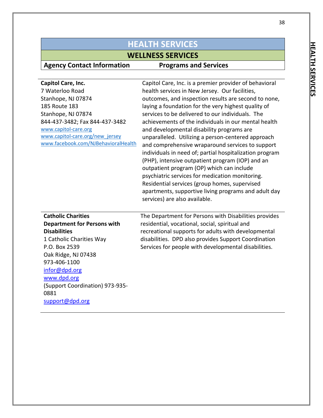# **Agency Contact Information**

# **WELLNESS SERVICES**<br> **n** Programs and Services

| Capitol Care, Inc.<br>7 Waterloo Road<br>Stanhope, NJ 07874<br>185 Route 183<br>Stanhope, NJ 07874<br>844-437-3482; Fax 844-437-3482<br>www.capitol-care.org<br>www.capitol-care.org/new jersey<br>www.facebook.com/NJBehavioralHealth                                   | Capitol Care, Inc. is a premier provider of behavioral<br>health services in New Jersey. Our facilities,<br>outcomes, and inspection results are second to none,<br>laying a foundation for the very highest quality of<br>services to be delivered to our individuals. The<br>achievements of the individuals in our mental health<br>and developmental disability programs are<br>unparalleled. Utilizing a person-centered approach<br>and comprehensive wraparound services to support<br>individuals in need of; partial hospitalization program<br>(PHP), intensive outpatient program (IOP) and an<br>outpatient program (OP) which can include<br>psychiatric services for medication monitoring.<br>Residential services (group homes, supervised<br>apartments, supportive living programs and adult day<br>services) are also available. |
|--------------------------------------------------------------------------------------------------------------------------------------------------------------------------------------------------------------------------------------------------------------------------|-----------------------------------------------------------------------------------------------------------------------------------------------------------------------------------------------------------------------------------------------------------------------------------------------------------------------------------------------------------------------------------------------------------------------------------------------------------------------------------------------------------------------------------------------------------------------------------------------------------------------------------------------------------------------------------------------------------------------------------------------------------------------------------------------------------------------------------------------------|
| <b>Catholic Charities</b><br><b>Department for Persons with</b><br><b>Disabilities</b><br>1 Catholic Charities Way<br>P.O. Box 2539<br>Oak Ridge, NJ 07438<br>973-406-1100<br>infor@dpd.org<br>www.dpd.org<br>(Support Coordination) 973-935-<br>0881<br>support@dpd.org | The Department for Persons with Disabilities provides<br>residential, vocational, social, spiritual and<br>recreational supports for adults with developmental<br>disabilities. DPD also provides Support Coordination<br>Services for people with developmental disabilities.                                                                                                                                                                                                                                                                                                                                                                                                                                                                                                                                                                      |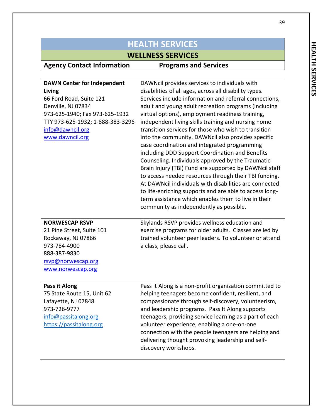# **WELLNESS SERVICES**

### **Agency Contact Information Programs and Services**

| <b>DAWN Center for Independent</b><br>Living<br>66 Ford Road, Suite 121<br>Denville, NJ 07834<br>973-625-1940; Fax 973-625-1932<br>TTY 973-625-1932; 1-888-383-3296<br>info@dawncil.org<br>www.dawncil.org | DAWNcil provides services to individuals with<br>disabilities of all ages, across all disability types.<br>Services include information and referral connections,<br>adult and young adult recreation programs (including<br>virtual options), employment readiness training,<br>independent living skills training and nursing home<br>transition services for those who wish to transition<br>into the community. DAWNcil also provides specific<br>case coordination and integrated programming |
|------------------------------------------------------------------------------------------------------------------------------------------------------------------------------------------------------------|----------------------------------------------------------------------------------------------------------------------------------------------------------------------------------------------------------------------------------------------------------------------------------------------------------------------------------------------------------------------------------------------------------------------------------------------------------------------------------------------------|
|                                                                                                                                                                                                            | including DDD Support Coordination and Benefits<br>Counseling. Individuals approved by the Traumatic<br>Brain Injury (TBI) Fund are supported by DAWNcil staff<br>to access needed resources through their TBI funding.<br>At DAWNcil individuals with disabilities are connected<br>to life-enriching supports and are able to access long-<br>term assistance which enables them to live in their<br>community as independently as possible.                                                     |
| <b>NORWESCAP RSVP</b><br>21 Pine Street, Suite 101<br>Rockaway, NJ 07866<br>973-784-4900<br>888-387-9830<br>rsvp@norwescap.org<br>www.norwescap.org                                                        | Skylands RSVP provides wellness education and<br>exercise programs for older adults. Classes are led by<br>trained volunteer peer leaders. To volunteer or attend<br>a class, please call.                                                                                                                                                                                                                                                                                                         |
| Pass it Along<br>75 State Route 15 Hnit 62                                                                                                                                                                 | Pass It Along is a non-profit organization committed to<br>helning teenagers hecome confident resilient and                                                                                                                                                                                                                                                                                                                                                                                        |

75 State Route 15, Unit 62 Lafayette, NJ 07848 973-726-9777 [info@passitalong.org](mailto:info@passitalong.org) [https://passitalong.org](https://linkprotect.cudasvc.com/url?a=https%3a%2f%2fpassitalong.org&c=E,1,A3KGw9cJKqLFRcsnDJy3LMYbdb6ssHV4Mcnh4MEq0D6SHrq6v7KE7uXVUgeJfTsFpH5dZ2xRq-fRG0fiZcvR6tQomdfWCSq_Xc4XrXWa9RzNqSvQrKs,&typo=1)

ping teenagers become confident, resilient, and compassionate through self-discovery, volunteerism, and leadership programs. Pass It Along supports teenagers, providing service learning as a part of each volunteer experience, enabling a one-on-one connection with the people teenagers are helping and delivering thought provoking leadership and selfdiscovery workshops.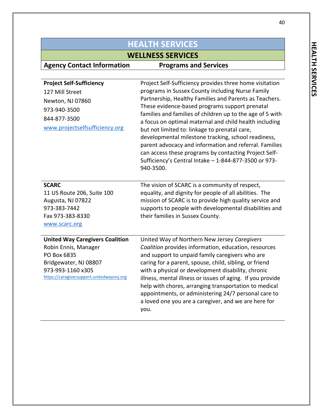| <b>HEALTH SERVICES</b>                                                                                                                                                   |                                                                                                                                                                                                                                                                                                                                                                                                                                                                                                                                                                                                                                                 |
|--------------------------------------------------------------------------------------------------------------------------------------------------------------------------|-------------------------------------------------------------------------------------------------------------------------------------------------------------------------------------------------------------------------------------------------------------------------------------------------------------------------------------------------------------------------------------------------------------------------------------------------------------------------------------------------------------------------------------------------------------------------------------------------------------------------------------------------|
| <b>WELLNESS SERVICES</b>                                                                                                                                                 |                                                                                                                                                                                                                                                                                                                                                                                                                                                                                                                                                                                                                                                 |
| <b>Agency Contact Information</b>                                                                                                                                        | <b>Programs and Services</b>                                                                                                                                                                                                                                                                                                                                                                                                                                                                                                                                                                                                                    |
| <b>Project Self-Sufficiency</b><br>127 Mill Street<br>Newton, NJ 07860<br>973-940-3500<br>844-877-3500<br>www.projectselfsufficiency.org                                 | Project Self-Sufficiency provides three home visitation<br>programs in Sussex County including Nurse Family<br>Partnership, Healthy Families and Parents as Teachers.<br>These evidence-based programs support prenatal<br>families and families of children up to the age of 5 with<br>a focus on optimal maternal and child health including<br>but not limited to: linkage to prenatal care,<br>developmental milestone tracking, school readiness,<br>parent advocacy and information and referral. Families<br>can access these programs by contacting Project Self-<br>Sufficiency's Central Intake - 1-844-877-3500 or 973-<br>940-3500. |
| <b>SCARC</b><br>11 US Route 206, Suite 100<br>Augusta, NJ 07822<br>973-383-7442<br>Fax 973-383-8330<br>www.scarc.org                                                     | The vision of SCARC is a community of respect,<br>equality, and dignity for people of all abilities. The<br>mission of SCARC is to provide high quality service and<br>supports to people with developmental disabilities and<br>their families in Sussex County.                                                                                                                                                                                                                                                                                                                                                                               |
| <b>United Way Caregivers Coalition</b><br>Robin Ennis, Manager<br>PO Box 6835<br>Bridgewater, NJ 08807<br>973-993-1160 x305<br>https://caregiversupport.unitedwaynnj.org | United Way of Northern New Jersey Caregivers<br>Coalition provides information, education, resources<br>and support to unpaid family caregivers who are<br>caring for a parent, spouse, child, sibling, or friend<br>with a physical or development disability, chronic<br>illness, mental illness or issues of aging. If you provide<br>help with chores, arranging transportation to medical<br>appointments, or administering 24/7 personal care to<br>a loved one you are a caregiver, and we are here for<br>you.                                                                                                                          |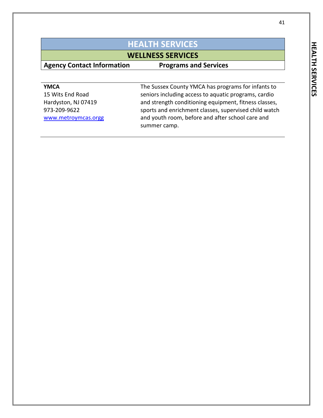# **WELLNESS SERVICES**<br> **n** Programs and Services

| <b>YMCA</b>         | The Sussex County YMCA has programs for infants to    |
|---------------------|-------------------------------------------------------|
| 15 Wits End Road    | seniors including access to aquatic programs, cardio  |
| Hardyston, NJ 07419 | and strength conditioning equipment, fitness classes, |
| 973-209-9622        | sports and enrichment classes, supervised child watch |
| www.metroymcas.orgg | and youth room, before and after school care and      |
|                     | summer camp.                                          |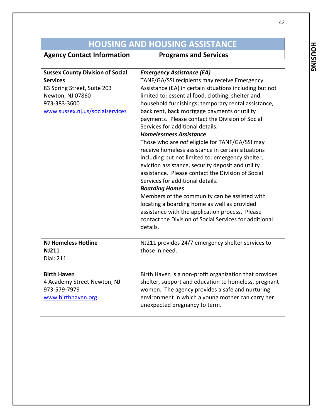# **HOUSING AND HOUSING ASSISTANCE**<br>t Information **Programs and Services**

| <b>Sussex County Division of Social</b><br><b>Services</b><br>83 Spring Street, Suite 203<br>Newton, NJ 07860<br>973-383-3600<br>www.sussex.nj.us/socialservices | <b>Emergency Assistance (EA)</b><br>TANF/GA/SSI recipients may receive Emergency<br>Assistance (EA) in certain situations including but not<br>limited to: essential food, clothing, shelter and<br>household furnishings; temporary rental assistance,<br>back rent, back mortgage payments or utility<br>payments. Please contact the Division of Social<br>Services for additional details.<br><b>Homelessness Assistance</b>                                                                                                                         |
|------------------------------------------------------------------------------------------------------------------------------------------------------------------|----------------------------------------------------------------------------------------------------------------------------------------------------------------------------------------------------------------------------------------------------------------------------------------------------------------------------------------------------------------------------------------------------------------------------------------------------------------------------------------------------------------------------------------------------------|
|                                                                                                                                                                  | Those who are not eligible for TANF/GA/SSI may<br>receive homeless assistance in certain situations<br>including but not limited to: emergency shelter,<br>eviction assistance, security deposit and utility<br>assistance. Please contact the Division of Social<br>Services for additional details.<br><b>Boarding Homes</b><br>Members of the community can be assisted with<br>locating a boarding home as well as provided<br>assistance with the application process. Please<br>contact the Division of Social Services for additional<br>details. |
| <b>NJ Homeless Hotline</b><br><b>NJ211</b><br><b>Dial: 211</b>                                                                                                   | NJ211 provides 24/7 emergency shelter services to<br>those in need.                                                                                                                                                                                                                                                                                                                                                                                                                                                                                      |
| <b>Birth Haven</b><br>4 Academy Street Newton, NJ<br>973-579-7979<br>www.birthhaven.org                                                                          | Birth Haven is a non-profit organization that provides<br>shelter, support and education to homeless, pregnant<br>women. The agency provides a safe and nurturing<br>environment in which a young mother can carry her<br>unexpected pregnancy to term.                                                                                                                                                                                                                                                                                                  |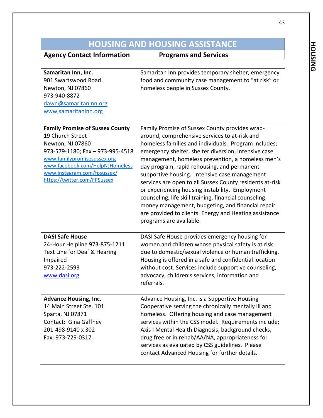# **HOUSING AND HOUSING ASSISTANCE**<br>t Information **Programs and Services**

| Samaritan Inn, Inc.<br>901 Swartswood Road<br>Newton, NJ 07860<br>973-940-8872<br>dawn@samaritaninn.org<br>www.samaritaninn.org<br><b>Family Promise of Sussex County</b>                                 | Samaritan Inn provides temporary shelter, emergency<br>food and community case management to "at risk" or<br>homeless people in Sussex County.<br>Family Promise of Sussex County provides wrap-                                                                                                                                                                                                                                                                                                                                                                                                                                      |
|-----------------------------------------------------------------------------------------------------------------------------------------------------------------------------------------------------------|---------------------------------------------------------------------------------------------------------------------------------------------------------------------------------------------------------------------------------------------------------------------------------------------------------------------------------------------------------------------------------------------------------------------------------------------------------------------------------------------------------------------------------------------------------------------------------------------------------------------------------------|
| 19 Church Street<br>Newton, NJ 07860<br>973-579-1180; Fax - 973-995-4518<br>www.familypromisesussex.org<br>www.facebook.com/HelpNJHomeless<br>www.instagram.com/fpsussex/<br>https://twitter.com/FPSussex | around, comprehensive services to at-risk and<br>homeless families and individuals. Program includes;<br>emergency shelter, shelter diversion, intensive case<br>management, homeless prevention, a homeless men's<br>day program, rapid rehousing, and permanent<br>supportive housing. Intensive case management<br>services are open to all Sussex County residents at-risk<br>or experiencing housing instability. Employment<br>counseling, life skill training, financial counseling,<br>money management, budgeting, and financial repair<br>are provided to clients. Energy and Heating assistance<br>programs are available. |
| <b>DASI Safe House</b><br>24-Hour Helpline 973-875-1211<br>Text Line for Deaf & Hearing<br>Impaired<br>973-222-2593<br>www.dasi.org                                                                       | DASI Safe House provides emergency housing for<br>women and children whose physical safety is at risk<br>due to domestic/sexual violence or human trafficking.<br>Housing is offered in a safe and confidential location<br>without cost. Services include supportive counseling,<br>advocacy, children's services, information and<br>referrals.                                                                                                                                                                                                                                                                                     |
| <b>Advance Housing, Inc.</b><br>14 Main Street Ste. 101<br>Sparta, NJ 07871<br>Contact: Gina Gaffney<br>201-498-9140 x 302<br>Fax: 973-729-0317                                                           | Advance Housing, Inc. is a Supportive Housing<br>Cooperative serving the chronically mentally ill and<br>homeless. Offering housing and case management<br>services within the CSS model. Requirements include;<br>Axis I Mental Health Diagnosis, background checks,<br>drug free or in rehab/AA/NA, appropriateness for<br>services as evaluated by CSS guidelines. Please<br>contact Advanced Housing for further details.                                                                                                                                                                                                         |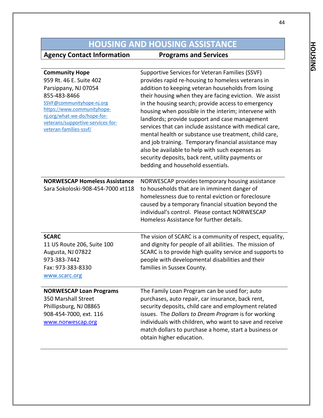# **HOUSING AND HOUSING ASSISTANCE**<br> **CONSISTENCE**<br> **Programs and Services**

| <b>Community Hope</b><br>959 Rt. 46 E. Suite 402<br>Parsippany, NJ 07054<br>855-483-8466<br>SSVF@communityhope-nj.org<br>https://www.communityhope- | Supportive Services for Veteran Families (SSVF)<br>provides rapid re-housing to homeless veterans in<br>addition to keeping veteran households from losing<br>their housing when they are facing eviction. We assist<br>in the housing search; provide access to emergency<br>housing when possible in the interim; intervene with                                      |
|-----------------------------------------------------------------------------------------------------------------------------------------------------|-------------------------------------------------------------------------------------------------------------------------------------------------------------------------------------------------------------------------------------------------------------------------------------------------------------------------------------------------------------------------|
| nj.org/what-we-do/hope-for-<br>veterans/supportive-services-for-<br>veteran-families-ssvf/                                                          | landlords; provide support and case management<br>services that can include assistance with medical care,<br>mental health or substance use treatment, child care,<br>and job training. Temporary financial assistance may<br>also be available to help with such expenses as<br>security deposits, back rent, utility payments or<br>bedding and household essentials. |
| <b>NORWESCAP Homeless Assistance</b><br>Sara Sokoloski-908-454-7000 xt118                                                                           | NORWESCAP provides temporary housing assistance<br>to households that are in imminent danger of<br>homelessness due to rental eviction or foreclosure<br>caused by a temporary financial situation beyond the<br>individual's control. Please contact NORWESCAP<br>Homeless Assistance for further details.                                                             |
| <b>SCARC</b><br>11 US Route 206, Suite 100<br>Augusta, NJ 07822<br>973-383-7442<br>Fax: 973-383-8330<br>www.scarc.org                               | The vision of SCARC is a community of respect, equality,<br>and dignity for people of all abilities. The mission of<br>SCARC is to provide high quality service and supports to<br>people with developmental disabilities and their<br>families in Sussex County.                                                                                                       |
| <b>NORWESCAP Loan Programs</b><br>350 Marshall Street<br>Phillipsburg, NJ 08865<br>908-454-7000, ext. 116<br>www.norwescap.org                      | The Family Loan Program can be used for; auto<br>purchases, auto repair, car insurance, back rent,<br>security deposits, child care and employment related<br>issues. The Dollars to Dream Program is for working<br>individuals with children, who want to save and receive<br>match dollars to purchase a home, start a business or<br>obtain higher education.       |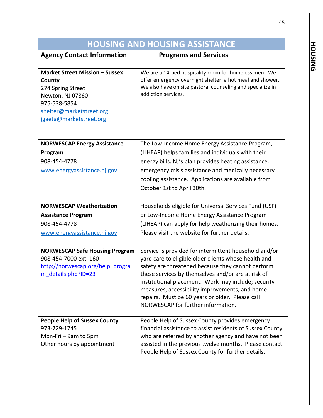# **HOUSING AND HOUSING ASSISTANCE**<br>**t Information** Programs and Services

| Market Street Mission - Sussex<br>County<br>274 Spring Street<br>Newton, NJ 07860<br>975-538-5854<br>shelter@marketstreet.org<br>jgaeta@marketstreet.org | We are a 14-bed hospitality room for homeless men. We<br>offer emergency overnight shelter, a hot meal and shower.<br>We also have on site pastoral counseling and specialize in<br>addiction services. |
|----------------------------------------------------------------------------------------------------------------------------------------------------------|---------------------------------------------------------------------------------------------------------------------------------------------------------------------------------------------------------|
| <b>NORWESCAP Energy Assistance</b>                                                                                                                       | The Low-Income Home Energy Assistance Program,                                                                                                                                                          |
| Program                                                                                                                                                  | (LIHEAP) helps families and individuals with their                                                                                                                                                      |
|                                                                                                                                                          |                                                                                                                                                                                                         |
| 908-454-4778                                                                                                                                             | energy bills. NJ's plan provides heating assistance,                                                                                                                                                    |
| www.energyassistance.nj.gov                                                                                                                              | emergency crisis assistance and medically necessary                                                                                                                                                     |
|                                                                                                                                                          | cooling assistance. Applications are available from                                                                                                                                                     |
|                                                                                                                                                          | October 1st to April 30th.                                                                                                                                                                              |
|                                                                                                                                                          |                                                                                                                                                                                                         |
| <b>NORWESCAP Weatherization</b>                                                                                                                          | Households eligible for Universal Services Fund (USF)                                                                                                                                                   |
| <b>Assistance Program</b>                                                                                                                                | or Low-Income Home Energy Assistance Program                                                                                                                                                            |
| 908-454-4778                                                                                                                                             | (LIHEAP) can apply for help weatherizing their homes.                                                                                                                                                   |
| www.energyassistance.nj.gov                                                                                                                              | Please visit the website for further details.                                                                                                                                                           |
|                                                                                                                                                          |                                                                                                                                                                                                         |
| <b>NORWESCAP Safe Housing Program</b>                                                                                                                    | Service is provided for intermittent household and/or                                                                                                                                                   |
| 908-454-7000 ext. 160                                                                                                                                    | yard care to eligible older clients whose health and                                                                                                                                                    |
|                                                                                                                                                          |                                                                                                                                                                                                         |

| 908-454-7000 ext. 160<br>http://norwescap.org/help progra<br>m details.php?ID=23 | yard care to eligible older clients whose health and<br>safety are threatened because they cannot perform<br>these services by themselves and/or are at risk of<br>institutional placement. Work may include; security<br>measures, accessibility improvements, and home<br>repairs. Must be 60 years or older. Please call<br>NORWESCAP for further information. |
|----------------------------------------------------------------------------------|-------------------------------------------------------------------------------------------------------------------------------------------------------------------------------------------------------------------------------------------------------------------------------------------------------------------------------------------------------------------|
| <b>People Help of Sussex County</b>                                              | People Help of Sussex County provides emergency                                                                                                                                                                                                                                                                                                                   |
| 973-729-1745                                                                     | financial assistance to assist residents of Sussex County                                                                                                                                                                                                                                                                                                         |
| Mon-Fri - 9am to 5pm                                                             | who are referred by another agency and have not been                                                                                                                                                                                                                                                                                                              |
| Other hours by appointment                                                       | assisted in the previous twelve months. Please contact                                                                                                                                                                                                                                                                                                            |
|                                                                                  | People Help of Sussex County for further details.                                                                                                                                                                                                                                                                                                                 |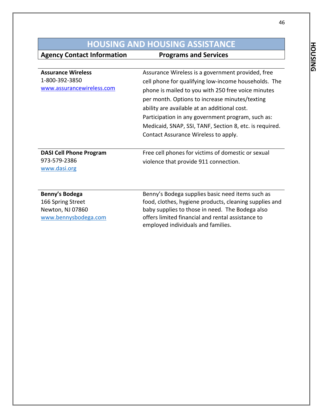## **HOUSING AND HOUSING ASSISTANCE**

**Agency Contact Information Programs and Services** 

| <b>Assurance Wireless</b>      | Assurance Wireless is a government provided, free       |
|--------------------------------|---------------------------------------------------------|
| 1-800-392-3850                 | cell phone for qualifying low-income households. The    |
| www.assurancewireless.com      | phone is mailed to you with 250 free voice minutes      |
|                                | per month. Options to increase minutes/texting          |
|                                | ability are available at an additional cost.            |
|                                | Participation in any government program, such as:       |
|                                | Medicaid, SNAP, SSI, TANF, Section 8, etc. is required. |
|                                | Contact Assurance Wireless to apply.                    |
|                                |                                                         |
|                                |                                                         |
| <b>DASI Cell Phone Program</b> | Free cell phones for victims of domestic or sexual      |
| 973-579-2386                   | violence that provide 911 connection.                   |
| www.dasi.org                   |                                                         |
|                                |                                                         |
|                                |                                                         |
| Benny's Bodega                 | Benny's Bodega supplies basic need items such as        |
| 166 Spring Street              | food, clothes, hygiene products, cleaning supplies and  |

[www.bennysbodega.com](http://www.bennysbodega.com/)

offers limited financial and rental assistance to employed individuals and families.

**HOUSING HOUSING**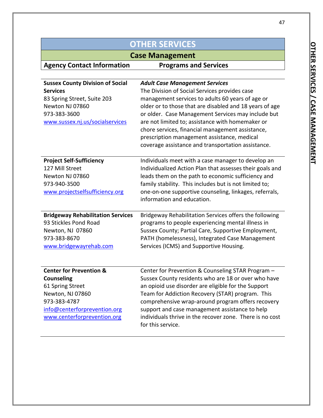| <b>OTHER SERVICES</b>                                                                                                                                                          |                                                                                                                                                                                                                                                                                                                                                                                                                                                                          |
|--------------------------------------------------------------------------------------------------------------------------------------------------------------------------------|--------------------------------------------------------------------------------------------------------------------------------------------------------------------------------------------------------------------------------------------------------------------------------------------------------------------------------------------------------------------------------------------------------------------------------------------------------------------------|
| <b>Case Management</b>                                                                                                                                                         |                                                                                                                                                                                                                                                                                                                                                                                                                                                                          |
| <b>Agency Contact Information</b>                                                                                                                                              | <b>Programs and Services</b>                                                                                                                                                                                                                                                                                                                                                                                                                                             |
|                                                                                                                                                                                |                                                                                                                                                                                                                                                                                                                                                                                                                                                                          |
| <b>Sussex County Division of Social</b><br><b>Services</b><br>83 Spring Street, Suite 203<br>Newton NJ 07860<br>973-383-3600<br>www.sussex.nj.us/socialservices                | <b>Adult Case Management Services</b><br>The Division of Social Services provides case<br>management services to adults 60 years of age or<br>older or to those that are disabled and 18 years of age<br>or older. Case Management Services may include but<br>are not limited to; assistance with homemaker or<br>chore services, financial management assistance,<br>prescription management assistance, medical<br>coverage assistance and transportation assistance. |
| <b>Project Self-Sufficiency</b><br>127 Mill Street<br>Newton NJ 07860<br>973-940-3500<br>www.projectselfsufficiency.org                                                        | Individuals meet with a case manager to develop an<br>Individualized Action Plan that assesses their goals and<br>leads them on the path to economic sufficiency and<br>family stability. This includes but is not limited to;<br>one-on-one supportive counseling, linkages, referrals,<br>information and education.                                                                                                                                                   |
| <b>Bridgeway Rehabilitation Services</b><br>93 Stickles Pond Road<br>Newton, NJ 07860<br>973-383-8670<br>www.bridgewayrehab.com                                                | Bridgeway Rehabilitation Services offers the following<br>programs to people experiencing mental illness in<br>Sussex County; Partial Care, Supportive Employment,<br>PATH (homelessness), Integrated Case Management<br>Services (ICMS) and Supportive Housing.                                                                                                                                                                                                         |
| <b>Center for Prevention &amp;</b><br><b>Counseling</b><br>61 Spring Street<br>Newton, NJ 07860<br>973-383-4787<br>info@centerforprevention.org<br>www.centerforprevention.org | Center for Prevention & Counseling STAR Program -<br>Sussex County residents who are 18 or over who have<br>an opioid use disorder are eligible for the Support<br>Team for Addiction Recovery (STAR) program. This<br>comprehensive wrap-around program offers recovery<br>support and case management assistance to help<br>individuals thrive in the recover zone. There is no cost<br>for this service.                                                              |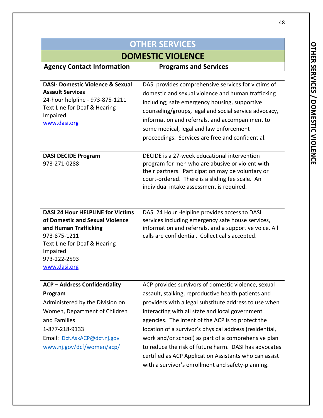| <b>OTHER SERVICES</b>                                           |                                                         |
|-----------------------------------------------------------------|---------------------------------------------------------|
| <b>DOMESTIC VIOLENCE</b>                                        |                                                         |
| <b>Agency Contact Information</b>                               | <b>Programs and Services</b>                            |
|                                                                 |                                                         |
| <b>DASI- Domestic Violence &amp; Sexual</b>                     | DASI provides comprehensive services for victims of     |
| <b>Assault Services</b>                                         | domestic and sexual violence and human trafficking      |
| 24-hour helpline - 973-875-1211<br>Text Line for Deaf & Hearing | including; safe emergency housing, supportive           |
| Impaired                                                        | counseling/groups, legal and social service advocacy,   |
| www.dasi.org                                                    | information and referrals, and accompaniment to         |
|                                                                 | some medical, legal and law enforcement                 |
|                                                                 | proceedings. Services are free and confidential.        |
| <b>DASI DECIDE Program</b>                                      | DECIDE is a 27-week educational intervention            |
| 973-271-0288                                                    | program for men who are abusive or violent with         |
|                                                                 | their partners. Participation may be voluntary or       |
|                                                                 | court-ordered. There is a sliding fee scale. An         |
|                                                                 | individual intake assessment is required.               |
|                                                                 |                                                         |
| <b>DASI 24 Hour HELPLINE for Victims</b>                        | DASI 24 Hour Helpline provides access to DASI           |
| of Domestic and Sexual Violence                                 | services including emergency safe house services,       |
| and Human Trafficking                                           | information and referrals, and a supportive voice. All  |
| 973-875-1211                                                    | calls are confidential. Collect calls accepted.         |
| Text Line for Deaf & Hearing                                    |                                                         |
| Impaired<br>973-222-2593                                        |                                                         |
| www.dasi.org                                                    |                                                         |
|                                                                 |                                                         |
| <b>ACP - Address Confidentiality</b>                            | ACP provides survivors of domestic violence, sexual     |
| Program                                                         | assault, stalking, reproductive health patients and     |
| Administered by the Division on                                 | providers with a legal substitute address to use when   |
| Women, Department of Children                                   | interacting with all state and local government         |
| and Families                                                    | agencies. The intent of the ACP is to protect the       |
| 1-877-218-9133                                                  | location of a survivor's physical address (residential, |
| Email: Dcf.AskACP@dcf.nj.gov                                    | work and/or school) as part of a comprehensive plan     |
| www.nj.gov/dcf/women/acp/                                       | to reduce the risk of future harm. DASI has advocates   |
|                                                                 | certified as ACP Application Assistants who can assist  |
|                                                                 | with a survivor's enrollment and safety-planning.       |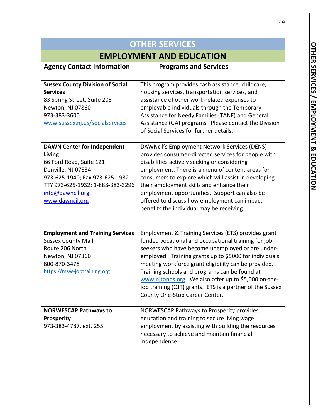## **EMPLOYMENT AND EDUCATION**

**Agency Contact Information Programs and Services**

| <b>Sussex County Division of Social</b><br><b>Services</b><br>83 Spring Street, Suite 203<br>Newton, NJ 07860<br>973-383-3600<br>www.sussex.nj.us/socialservices                                           | This program provides cash assistance, childcare,<br>housing services, transportation services, and<br>assistance of other work-related expenses to<br>employable individuals through the Temporary<br>Assistance for Needy Families (TANF) and General<br>Assistance (GA) programs. Please contact the Division<br>of Social Services for further details.                                                                                                |
|------------------------------------------------------------------------------------------------------------------------------------------------------------------------------------------------------------|------------------------------------------------------------------------------------------------------------------------------------------------------------------------------------------------------------------------------------------------------------------------------------------------------------------------------------------------------------------------------------------------------------------------------------------------------------|
| <b>DAWN Center for Independent</b><br>Living<br>66 Ford Road, Suite 121<br>Denville, NJ 07834<br>973-625-1940; Fax 973-625-1932<br>TTY 973-625-1932; 1-888-383-3296<br>info@dawncil.org<br>www.dawncil.org | DAWNcil's Employment Network Services (DENS)<br>provides consumer-directed services for people with<br>disabilities actively seeking or considering<br>employment. There is a menu of content areas for<br>consumers to explore which will assist in developing<br>their employment skills and enhance their<br>employment opportunities. Support can also be<br>offered to discuss how employment can impact<br>benefits the individual may be receiving. |

| <b>Employment and Training Services</b> | Employment & Training Services (ETS) provides grant       |
|-----------------------------------------|-----------------------------------------------------------|
| <b>Sussex County Mall</b>               | funded vocational and occupational training for job       |
| Route 206 North                         | seekers who have become unemployed or are under-          |
| Newton, NJ 07860                        | employed. Training grants up to \$5000 for individuals    |
| 800-870-3478                            | meeting workforce grant eligibility can be provided.      |
| https://msw-jobtraining.org             | Training schools and programs can be found at             |
|                                         | www.njtopps.org. We also offer up to \$5,000 on-the-      |
|                                         | job training (OJT) grants. ETS is a partner of the Sussex |
|                                         | County One-Stop Career Center.                            |
|                                         |                                                           |
| <b>NORWESCAP Pathways to</b>            | NORWESCAP Pathways to Prosperity provides                 |
| <b>Prosperity</b>                       | education and training to secure living wage              |
| 973-383-4787, ext. 255                  | employment by assisting with building the resources       |

independence.

necessary to achieve and maintain financial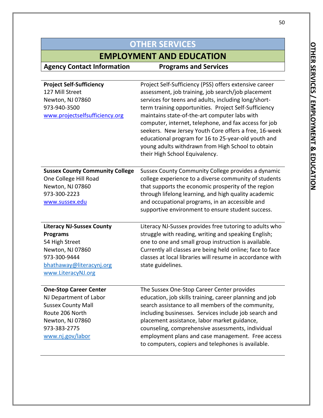# **EMPLOYMENT AND EDUCATION**<br>formation **Programs and Services**

| <b>Project Self-Sufficiency</b><br>127 Mill Street<br>Newton, NJ 07860<br>973-940-3500<br>www.projectselfsufficiency.org | Project Self-Sufficiency (PSS) offers extensive career<br>assessment, job training, job search/job placement<br>services for teens and adults, including long/short-<br>term training opportunities. Project Self-Sufficiency<br>maintains state-of-the-art computer labs with<br>computer, internet, telephone, and fax access for job<br>seekers. New Jersey Youth Core offers a free, 16-week<br>educational program for 16 to 25-year-old youth and<br>young adults withdrawn from High School to obtain<br>their High School Equivalency. |
|--------------------------------------------------------------------------------------------------------------------------|------------------------------------------------------------------------------------------------------------------------------------------------------------------------------------------------------------------------------------------------------------------------------------------------------------------------------------------------------------------------------------------------------------------------------------------------------------------------------------------------------------------------------------------------|
| <b>Sussex County Community College</b>                                                                                   | Sussex County Community College provides a dynamic                                                                                                                                                                                                                                                                                                                                                                                                                                                                                             |
| One College Hill Road                                                                                                    | college experience to a diverse community of students                                                                                                                                                                                                                                                                                                                                                                                                                                                                                          |
| Newton, NJ 07860                                                                                                         | that supports the economic prosperity of the region                                                                                                                                                                                                                                                                                                                                                                                                                                                                                            |
| 973-300-2223                                                                                                             | through lifelong learning, and high quality academic                                                                                                                                                                                                                                                                                                                                                                                                                                                                                           |
| www.sussex.edu                                                                                                           | and occupational programs, in an accessible and                                                                                                                                                                                                                                                                                                                                                                                                                                                                                                |
|                                                                                                                          | supportive environment to ensure student success.                                                                                                                                                                                                                                                                                                                                                                                                                                                                                              |
| <b>Literacy NJ-Sussex County</b>                                                                                         | Literacy NJ-Sussex provides free tutoring to adults who                                                                                                                                                                                                                                                                                                                                                                                                                                                                                        |
| <b>Programs</b>                                                                                                          | struggle with reading, writing and speaking English;                                                                                                                                                                                                                                                                                                                                                                                                                                                                                           |
| 54 High Street                                                                                                           | one to one and small group instruction is available.                                                                                                                                                                                                                                                                                                                                                                                                                                                                                           |
| Newton, NJ 07860                                                                                                         | Currently all classes are being held online; face to face                                                                                                                                                                                                                                                                                                                                                                                                                                                                                      |
| 973-300-9444                                                                                                             | classes at local libraries will resume in accordance with                                                                                                                                                                                                                                                                                                                                                                                                                                                                                      |
| bhathaway@literacynj.org                                                                                                 | state guidelines.                                                                                                                                                                                                                                                                                                                                                                                                                                                                                                                              |
| www.LiteracyNJ.org                                                                                                       |                                                                                                                                                                                                                                                                                                                                                                                                                                                                                                                                                |
| <b>One-Stop Career Center</b>                                                                                            | The Sussex One-Stop Career Center provides                                                                                                                                                                                                                                                                                                                                                                                                                                                                                                     |
| NJ Department of Labor                                                                                                   | education, job skills training, career planning and job                                                                                                                                                                                                                                                                                                                                                                                                                                                                                        |
| <b>Sussex County Mall</b>                                                                                                | search assistance to all members of the community,                                                                                                                                                                                                                                                                                                                                                                                                                                                                                             |
|                                                                                                                          |                                                                                                                                                                                                                                                                                                                                                                                                                                                                                                                                                |
| Route 206 North                                                                                                          | including businesses. Services include job search and                                                                                                                                                                                                                                                                                                                                                                                                                                                                                          |
| Newton, NJ 07860                                                                                                         | placement assistance, labor market guidance,                                                                                                                                                                                                                                                                                                                                                                                                                                                                                                   |
| 973-383-2775                                                                                                             | counseling, comprehensive assessments, individual                                                                                                                                                                                                                                                                                                                                                                                                                                                                                              |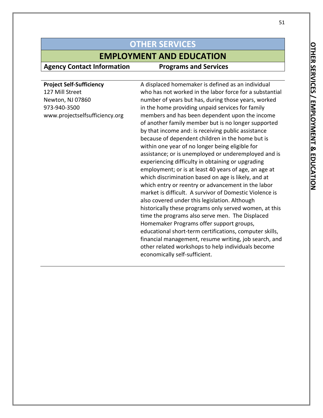### **EMPLOYMENT AND EDUCATION**

**Agency Contact Information Programs and Services**

**Project Self-Sufficiency** 127 Mill Street Newton, NJ 07860 973-940-3500 www.projectselfsufficiency.org A displaced homemaker is defined as an individual who has not worked in the labor force for a substantial number of years but has, during those years, worked in the home providing unpaid services for family members and has been dependent upon the income of another family member but is no longer supported by that income and: is receiving public assistance because of dependent children in the home but is within one year of no longer being eligible for assistance; or is unemployed or underemployed and is experiencing difficulty in obtaining or upgrading employment; or is at least 40 years of age, an age at which discrimination based on age is likely, and at which entry or reentry or advancement in the labor market is difficult. A survivor of Domestic Violence is also covered under this legislation. Although historically these programs only served women, at this time the programs also serve men. The Displaced Homemaker Programs offer support groups, educational short-term certifications, computer skills, financial management, resume writing, job search, and other related workshops to help individuals become economically self-sufficient.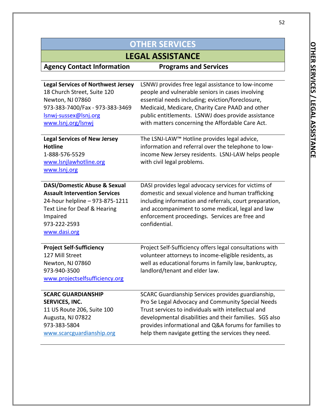| <b>OTHER SERVICES</b>                                                                                                                                                                          |                                                                                                                                                                                                                                                                                                                                          |
|------------------------------------------------------------------------------------------------------------------------------------------------------------------------------------------------|------------------------------------------------------------------------------------------------------------------------------------------------------------------------------------------------------------------------------------------------------------------------------------------------------------------------------------------|
| <b>LEGAL ASSISTANCE</b>                                                                                                                                                                        |                                                                                                                                                                                                                                                                                                                                          |
| <b>Agency Contact Information</b>                                                                                                                                                              | <b>Programs and Services</b>                                                                                                                                                                                                                                                                                                             |
|                                                                                                                                                                                                |                                                                                                                                                                                                                                                                                                                                          |
| <b>Legal Services of Northwest Jersey</b><br>18 Church Street, Suite 120<br>Newton, NJ 07860<br>973-383-7400/Fax - 973-383-3469<br>Isnwj-sussex@lsnj.org<br>www.lsnj.org/lsnwj                 | LSNWJ provides free legal assistance to low-income<br>people and vulnerable seniors in cases involving<br>essential needs including; eviction/foreclosure,<br>Medicaid, Medicare, Charity Care PAAD and other<br>public entitlements. LSNWJ does provide assistance<br>with matters concerning the Affordable Care Act.                  |
| <b>Legal Services of New Jersey</b><br><b>Hotline</b><br>1-888-576-5529<br>www.lsnjlawhotline.org<br>www.lsnj.org                                                                              | The LSNJ-LAW™ Hotline provides legal advice,<br>information and referral over the telephone to low-<br>income New Jersey residents. LSNJ-LAW helps people<br>with civil legal problems.                                                                                                                                                  |
| <b>DASI/Domestic Abuse &amp; Sexual</b><br><b>Assault Intervention Services</b><br>24-hour helpline - 973-875-1211<br>Text Line for Deaf & Hearing<br>Impaired<br>973-222-2593<br>www.dasi.org | DASI provides legal advocacy services for victims of<br>domestic and sexual violence and human trafficking<br>including information and referrals, court preparation,<br>and accompaniment to some medical, legal and law<br>enforcement proceedings. Services are free and<br>confidential.                                             |
| <b>Project Self-Sufficiency</b><br>127 Mill Street<br>Newton, NJ 07860<br>973-940-3500<br>www.projectselfsufficiency.org                                                                       | Project Self-Sufficiency offers legal consultations with<br>volunteer attorneys to income-eligible residents, as<br>well as educational forums in family law, bankruptcy,<br>landlord/tenant and elder law.                                                                                                                              |
| <b>SCARC GUARDIANSHIP</b><br><b>SERVICES, INC.</b><br>11 US Route 206, Suite 100<br>Augusta, NJ 07822<br>973-383-5804<br>www.scarcguardianship.org                                             | SCARC Guardianship Services provides guardianship,<br>Pro Se Legal Advocacy and Community Special Needs<br>Trust services to individuals with intellectual and<br>developmental disabilities and their families. SGS also<br>provides informational and Q&A forums for families to<br>help them navigate getting the services they need. |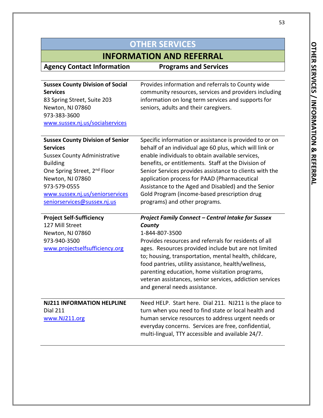| <b>OTHER SERVICES</b>                                                                                                                                                                                                                                                  |                                                                                                                                                                                                                                                                                                                                                                                                                                                                                  |
|------------------------------------------------------------------------------------------------------------------------------------------------------------------------------------------------------------------------------------------------------------------------|----------------------------------------------------------------------------------------------------------------------------------------------------------------------------------------------------------------------------------------------------------------------------------------------------------------------------------------------------------------------------------------------------------------------------------------------------------------------------------|
| <b>INFORMATION AND REFERRAL</b>                                                                                                                                                                                                                                        |                                                                                                                                                                                                                                                                                                                                                                                                                                                                                  |
| <b>Agency Contact Information</b>                                                                                                                                                                                                                                      | <b>Programs and Services</b>                                                                                                                                                                                                                                                                                                                                                                                                                                                     |
|                                                                                                                                                                                                                                                                        |                                                                                                                                                                                                                                                                                                                                                                                                                                                                                  |
| <b>Sussex County Division of Social</b><br><b>Services</b>                                                                                                                                                                                                             | Provides information and referrals to County wide<br>community resources, services and providers including                                                                                                                                                                                                                                                                                                                                                                       |
| 83 Spring Street, Suite 203                                                                                                                                                                                                                                            | information on long term services and supports for                                                                                                                                                                                                                                                                                                                                                                                                                               |
| Newton, NJ 07860                                                                                                                                                                                                                                                       | seniors, adults and their caregivers.                                                                                                                                                                                                                                                                                                                                                                                                                                            |
| 973-383-3600                                                                                                                                                                                                                                                           |                                                                                                                                                                                                                                                                                                                                                                                                                                                                                  |
| www.sussex.nj.us/socialservices                                                                                                                                                                                                                                        |                                                                                                                                                                                                                                                                                                                                                                                                                                                                                  |
| <b>Sussex County Division of Senior</b><br><b>Services</b><br><b>Sussex County Administrative</b><br><b>Building</b><br>One Spring Street, 2 <sup>nd</sup> Floor<br>Newton, NJ 07860<br>973-579-0555<br>www.sussex.nj.us/seniorservices<br>seniorservices@sussex.nj.us | Specific information or assistance is provided to or on<br>behalf of an individual age 60 plus, which will link or<br>enable individuals to obtain available services,<br>benefits, or entitlements. Staff at the Division of<br>Senior Services provides assistance to clients with the<br>application process for PAAD (Pharmaceutical<br>Assistance to the Aged and Disabled) and the Senior<br>Gold Program (income-based prescription drug<br>programs) and other programs. |
| <b>Project Self-Sufficiency</b>                                                                                                                                                                                                                                        | <b>Project Family Connect - Central Intake for Sussex</b>                                                                                                                                                                                                                                                                                                                                                                                                                        |
| 127 Mill Street                                                                                                                                                                                                                                                        | County                                                                                                                                                                                                                                                                                                                                                                                                                                                                           |
| Newton, NJ 07860<br>973-940-3500                                                                                                                                                                                                                                       | 1-844-807-3500<br>Provides resources and referrals for residents of all                                                                                                                                                                                                                                                                                                                                                                                                          |
| www.projectselfsufficiency.org                                                                                                                                                                                                                                         | ages. Resources provided include but are not limited<br>to; housing, transportation, mental health, childcare,<br>food pantries, utility assistance, health/wellness,<br>parenting education, home visitation programs,<br>veteran assistances, senior services, addiction services<br>and general needs assistance.                                                                                                                                                             |
| <b>NJ211 INFORMATION HELPLINE</b>                                                                                                                                                                                                                                      | Need HELP. Start here. Dial 211. NJ211 is the place to                                                                                                                                                                                                                                                                                                                                                                                                                           |
| <b>Dial 211</b>                                                                                                                                                                                                                                                        | turn when you need to find state or local health and                                                                                                                                                                                                                                                                                                                                                                                                                             |
| www.NJ211.org                                                                                                                                                                                                                                                          | human service resources to address urgent needs or<br>everyday concerns. Services are free, confidential,<br>multi-lingual, TTY accessible and available 24/7.                                                                                                                                                                                                                                                                                                                   |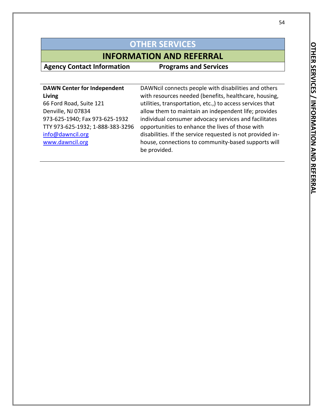## **INFORMATION AND REFERRAL**

**Agency Contact Information Programs and Services**

| <b>DAWN Center for Independent</b> |  |
|------------------------------------|--|
| Living                             |  |
| 66 Ford Road, Suite 121            |  |
| Denville, NJ 07834                 |  |
| 973-625-1940; Fax 973-625-1932     |  |
| TTY 973-625-1932; 1-888-383-3296   |  |
| info@dawncil.org                   |  |
| www.dawncil.org                    |  |

DAWNcil connects people with disabilities and others with resources needed (benefits, healthcare, housing, utilities, transportation, etc.,) to access services that allow them to maintain an independent life; provides individual consumer advocacy services and facilitates opportunities to enhance the lives of those with disabilities. If the service requested is not provided inhouse, connections to community-based supports will be provided.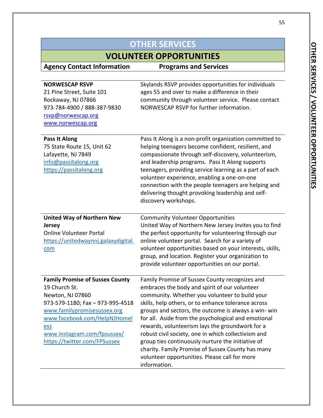| <b>OTHER SERVICES</b>                                                                                                                                                                                                                                |                                                                                                                                                                                                                                                                                                                                                                                                                                                                                                                                                                                                              |
|------------------------------------------------------------------------------------------------------------------------------------------------------------------------------------------------------------------------------------------------------|--------------------------------------------------------------------------------------------------------------------------------------------------------------------------------------------------------------------------------------------------------------------------------------------------------------------------------------------------------------------------------------------------------------------------------------------------------------------------------------------------------------------------------------------------------------------------------------------------------------|
| <b>VOLUNTEER OPPORTUNITIES</b>                                                                                                                                                                                                                       |                                                                                                                                                                                                                                                                                                                                                                                                                                                                                                                                                                                                              |
| <b>Agency Contact Information</b>                                                                                                                                                                                                                    | <b>Programs and Services</b>                                                                                                                                                                                                                                                                                                                                                                                                                                                                                                                                                                                 |
| <b>NORWESCAP RSVP</b><br>21 Pine Street, Suite 101<br>Rockaway, NJ 07866<br>973-784-4900 / 888-387-9830<br>rsvp@norwescap.org<br>www.norwescap.org                                                                                                   | Skylands RSVP provides opportunities for individuals<br>ages 55 and over to make a difference in their<br>community through volunteer service. Please contact<br>NORWESCAP RSVP for further information.                                                                                                                                                                                                                                                                                                                                                                                                     |
| Pass It Along<br>75 State Route 15, Unit 62<br>Lafayette, NJ 7849<br>info@passitalong.org<br>https://passitalong.org                                                                                                                                 | Pass It Along is a non-profit organization committed to<br>helping teenagers become confident, resilient, and<br>compassionate through self-discovery, volunteerism,<br>and leadership programs. Pass It Along supports<br>teenagers, providing service learning as a part of each<br>volunteer experience, enabling a one-on-one<br>connection with the people teenagers are helping and<br>delivering thought provoking leadership and self-<br>discovery workshops.                                                                                                                                       |
| <b>United Way of Northern New</b><br><b>Jersey</b><br><b>Online Volunteer Portal</b><br>https://unitedwaynnj.galaxydigital.<br>com                                                                                                                   | <b>Community Volunteer Opportunities</b><br>United Way of Northern New Jersey invites you to find<br>the perfect opportunity for volunteering through our<br>online volunteer portal. Search for a variety of<br>volunteer opportunities based on your interests, skills,<br>group, and location. Register your organization to<br>provide volunteer opportunities on our portal.                                                                                                                                                                                                                            |
| <b>Family Promise of Sussex County</b><br>19 Church St.<br>Newton, NJ 07860<br>973-579-1180; Fax - 973-995-4518<br>www.familypromisesussex.org<br>www.facebook.com/HelpNJHomel<br>ess<br>www.instagram.com/fpsussex/<br>https://twitter.com/FPSussex | Family Promise of Sussex County recognizes and<br>embraces the body and spirit of our volunteer<br>community. Whether you volunteer to build your<br>skills, help others, or to enhance tolerance across<br>groups and sectors, the outcome is always a win- win<br>for all. Aside from the psychological and emotional<br>rewards, volunteerism lays the groundwork for a<br>robust civil society, one in which collectivism and<br>group ties continuously nurture the initiative of<br>charity. Family Promise of Sussex County has many<br>volunteer opportunities. Please call for more<br>information. |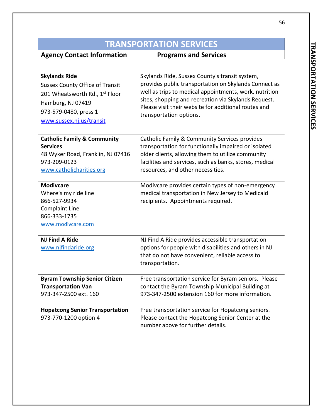# **TRANSPORTATION SERVICES**

| <b>Skylands Ride</b><br><b>Sussex County Office of Transit</b><br>201 Wheatsworth Rd., 1st Floor<br>Hamburg, NJ 07419<br>973-579-0480, press 1<br>www.sussex.nj.us/transit | Skylands Ride, Sussex County's transit system,<br>provides public transportation on Skylands Connect as<br>well as trips to medical appointments, work, nutrition<br>sites, shopping and recreation via Skylands Request.<br>Please visit their website for additional routes and<br>transportation options. |
|----------------------------------------------------------------------------------------------------------------------------------------------------------------------------|--------------------------------------------------------------------------------------------------------------------------------------------------------------------------------------------------------------------------------------------------------------------------------------------------------------|
| <b>Catholic Family &amp; Community</b><br><b>Services</b>                                                                                                                  | Catholic Family & Community Services provides<br>transportation for functionally impaired or isolated                                                                                                                                                                                                        |
| 48 Wyker Road, Franklin, NJ 07416                                                                                                                                          | older clients, allowing them to utilize community                                                                                                                                                                                                                                                            |
| 973-209-0123                                                                                                                                                               | facilities and services, such as banks, stores, medical                                                                                                                                                                                                                                                      |
| www.catholicharities.org                                                                                                                                                   | resources, and other necessities.                                                                                                                                                                                                                                                                            |
| <b>Modivcare</b>                                                                                                                                                           | Modivcare provides certain types of non-emergency                                                                                                                                                                                                                                                            |
| Where's my ride line                                                                                                                                                       | medical transportation in New Jersey to Medicaid                                                                                                                                                                                                                                                             |
| 866-527-9934                                                                                                                                                               | recipients. Appointments required.                                                                                                                                                                                                                                                                           |
| <b>Complaint Line</b><br>866-333-1735                                                                                                                                      |                                                                                                                                                                                                                                                                                                              |
| www.modivcare.com                                                                                                                                                          |                                                                                                                                                                                                                                                                                                              |
|                                                                                                                                                                            |                                                                                                                                                                                                                                                                                                              |
| <b>NJ Find A Ride</b>                                                                                                                                                      | NJ Find A Ride provides accessible transportation                                                                                                                                                                                                                                                            |
| www.njfindaride.org                                                                                                                                                        | options for people with disabilities and others in NJ                                                                                                                                                                                                                                                        |
|                                                                                                                                                                            | that do not have convenient, reliable access to<br>transportation.                                                                                                                                                                                                                                           |
|                                                                                                                                                                            |                                                                                                                                                                                                                                                                                                              |
| <b>Byram Township Senior Citizen</b>                                                                                                                                       | Free transportation service for Byram seniors. Please                                                                                                                                                                                                                                                        |
| <b>Transportation Van</b>                                                                                                                                                  | contact the Byram Township Municipal Building at                                                                                                                                                                                                                                                             |
| 973-347-2500 ext. 160                                                                                                                                                      | 973-347-2500 extension 160 for more information.                                                                                                                                                                                                                                                             |
| <b>Hopatcong Senior Transportation</b>                                                                                                                                     | Free transportation service for Hopatcong seniors.                                                                                                                                                                                                                                                           |
| 973-770-1200 option 4                                                                                                                                                      | Please contact the Hopatcong Senior Center at the<br>number above for further details.                                                                                                                                                                                                                       |
|                                                                                                                                                                            |                                                                                                                                                                                                                                                                                                              |